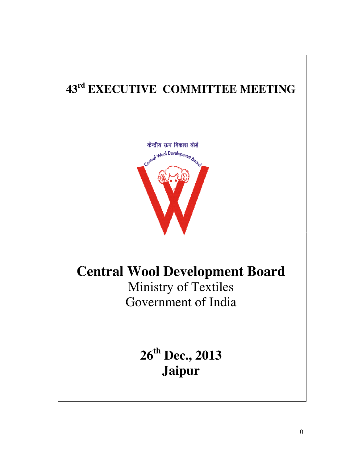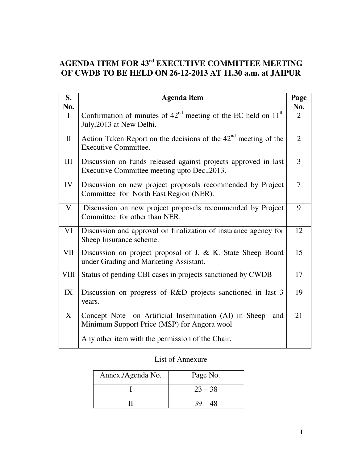# **AGENDA ITEM FOR 43rd EXECUTIVE COMMITTEE MEETING OF CWDB TO BE HELD ON 26-12-2013 AT 11.30 a.m. at JAIPUR**

| S.           | <b>Agenda</b> item                                                                                             | Page           |
|--------------|----------------------------------------------------------------------------------------------------------------|----------------|
| No.          |                                                                                                                | No.            |
| $\mathbf{I}$ | Confirmation of minutes of $42nd$ meeting of the EC held on $11th$<br>July, 2013 at New Delhi.                 | $\overline{2}$ |
| $\mathbf{I}$ | Action Taken Report on the decisions of the $42nd$ meeting of the<br><b>Executive Committee.</b>               | $\overline{2}$ |
| III          | Discussion on funds released against projects approved in last<br>Executive Committee meeting upto Dec., 2013. | 3              |
| IV           | Discussion on new project proposals recommended by Project<br>Committee for North East Region (NER).           | $\tau$         |
| V            | Discussion on new project proposals recommended by Project<br>Committee for other than NER.                    | 9              |
| VI           | Discussion and approval on finalization of insurance agency for<br>Sheep Insurance scheme.                     | 12             |
| VII          | Discussion on project proposal of J. & K. State Sheep Board<br>under Grading and Marketing Assistant.          | 15             |
| <b>VIII</b>  | Status of pending CBI cases in projects sanctioned by CWDB                                                     | 17             |
| IX           | Discussion on progress of R&D projects sanctioned in last 3<br>years.                                          | 19             |
| X            | Concept Note on Artificial Insemination (AI) in Sheep<br>and<br>Minimum Support Price (MSP) for Angora wool    | 21             |
|              | Any other item with the permission of the Chair.                                                               |                |

# List of Annexure

| Annex./Agenda No. | Page No.  |
|-------------------|-----------|
|                   | $23 - 38$ |
|                   |           |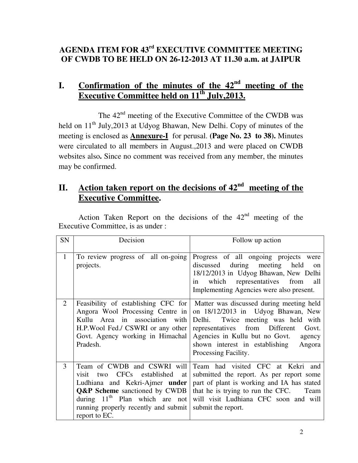# **AGENDA ITEM FOR 43rd EXECUTIVE COMMITTEE MEETING OF CWDB TO BE HELD ON 26-12-2013 AT 11.30 a.m. at JAIPUR**

# **I. Confirmation of the minutes of the 42nd meeting of the Executive Committee held on 11th July,2013.**

The  $42<sup>nd</sup>$  meeting of the Executive Committee of the CWDB was held on  $11<sup>th</sup>$  July, 2013 at Udyog Bhawan, New Delhi. Copy of minutes of the meeting is enclosed as **Annexure-I** for perusal. **(Page No. 23 to 38).** Minutes were circulated to all members in August.,2013 and were placed on CWDB websites also**.** Since no comment was received from any member, the minutes may be confirmed.

# **II. Action taken report on the decisions of 42nd meeting of the Executive Committee.**

Action Taken Report on the decisions of the  $42<sup>nd</sup>$  meeting of the Executive Committee, is as under :

| SN           | Decision                                                                                                                                                                                                                                         | Follow up action                                                                                                                                                                                                                                                                                                       |
|--------------|--------------------------------------------------------------------------------------------------------------------------------------------------------------------------------------------------------------------------------------------------|------------------------------------------------------------------------------------------------------------------------------------------------------------------------------------------------------------------------------------------------------------------------------------------------------------------------|
| $\mathbf{1}$ | To review progress of all on-going<br>projects.                                                                                                                                                                                                  | Progress of all ongoing projects were<br>discussed during meeting held<br>$_{\rm on}$<br>18/12/2013 in Udyog Bhawan, New Delhi<br>which representatives from<br>all<br>in<br>Implementing Agencies were also present.                                                                                                  |
| 2            | Angora Wool Processing Centre in<br>Kullu Area in association with<br>H.P.Wool Fed./ CSWRI or any other<br>Govt. Agency working in Himachal<br>Pradesh.                                                                                          | Feasibility of establishing CFC for Matter was discussed during meeting held<br>on 18/12/2013 in Udyog Bhawan, New<br>Twice meeting was held with<br>Delhi.<br>representatives from Different<br>Govt.<br>Agencies in Kullu but no Govt.<br>agency<br>shown interest in establishing<br>Angora<br>Processing Facility. |
| 3            | Team of CWDB and CSWRI will<br>CFCs established<br>visit<br>two<br>at<br>Ludhiana and Kekri-Ajmer under<br><b>Q&amp;P</b> Scheme sanctioned by CWDB<br>during $11th$ Plan which are not<br>running properly recently and submit<br>report to EC. | Team had visited CFC at Kekri and<br>submitted the report. As per report some<br>part of plant is working and IA has stated<br>that he is trying to run the CFC. Team<br>will visit Ludhiana CFC soon and will<br>submit the report.                                                                                   |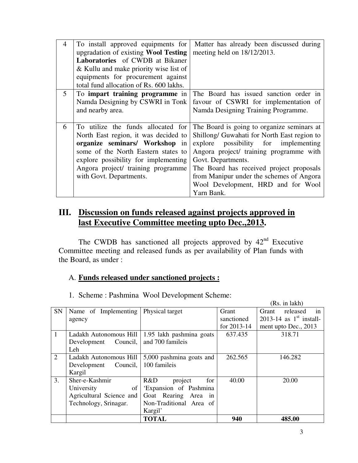| 4 | To install approved equipments for<br>upgradation of existing Wool Testing<br>Laboratories of CWDB at Bikaner<br>& Kullu and make priority wise list of<br>equipments for procurement against<br>total fund allocation of Rs. 600 lakhs.                     | Matter has already been discussed during<br>meeting held on 18/12/2013.                                                                                                                                                                                                                                                                           |
|---|--------------------------------------------------------------------------------------------------------------------------------------------------------------------------------------------------------------------------------------------------------------|---------------------------------------------------------------------------------------------------------------------------------------------------------------------------------------------------------------------------------------------------------------------------------------------------------------------------------------------------|
| 5 | To impart training programme in<br>Namda Designing by CSWRI in Tonk<br>and nearby area.                                                                                                                                                                      | The Board has issued sanction order in<br>favour of CSWRI for implementation of<br>Namda Designing Training Programme.                                                                                                                                                                                                                            |
| 6 | To utilize the funds allocated for<br>North East region, it was decided to<br>organize seminars/ Workshop in<br>some of the North Eastern states to<br>explore possibility for implementing<br>Angora project/ training programme<br>with Govt. Departments. | The Board is going to organize seminars at<br>Shillong/ Guwahati for North East region to<br>possibility for implementing<br>explore<br>Angora project/ training programme with<br>Govt. Departments.<br>The Board has received project proposals<br>from Manipur under the schemes of Angora<br>Wool Development, HRD and for Wool<br>Yarn Bank. |

# **III. Discussion on funds released against projects approved in last Executive Committee meeting upto Dec.,2013.**

The CWDB has sanctioned all projects approved by  $42<sup>nd</sup>$  Executive Committee meeting and released funds as per availability of Plan funds with the Board, as under :

# A. **Funds released under sanctioned projects :**

| SN | Name of Implementing     | Physical target          | Grant       | released<br>Grant<br>in   |
|----|--------------------------|--------------------------|-------------|---------------------------|
|    | agency                   |                          | sanctioned  | 2013-14 as $1st$ install- |
|    |                          |                          | for 2013-14 | ment upto Dec., 2013      |
| 1  | Ladakh Autonomous Hill   | 1.95 lakh pashmina goats | 637.435     | 318.71                    |
|    | Development Council,     | and 700 famileis         |             |                           |
|    | Leh                      |                          |             |                           |
| 2  | Ladakh Autonomous Hill   | 5,000 pashmina goats and | 262.565     | 146.282                   |
|    | Development<br>Council,  | 100 famileis             |             |                           |
|    | Kargil                   |                          |             |                           |
| 3. | Sher-e-Kashmir           | R&D<br>project<br>for    | 40.00       | 20.00                     |
|    | University<br>of         | 'Expansion of Pashmina   |             |                           |
|    | Agricultural Science and | Goat Rearing Area in     |             |                           |
|    | Technology, Srinagar.    | Non-Traditional Area of  |             |                           |
|    |                          | Kargil'                  |             |                           |
|    |                          | <b>TOTAL</b>             | 940         | 485.00                    |

1. Scheme : Pashmina Wool Development Scheme:

(Rs. in lakh)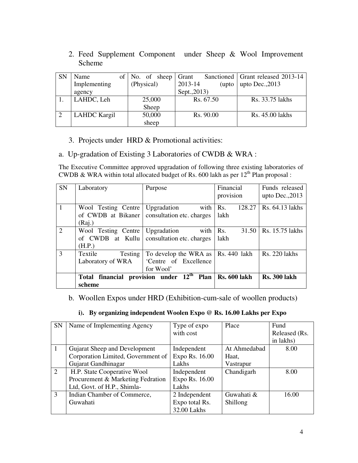2. Feed Supplement Component under Sheep & Wool Improvement Scheme

| <b>SN</b> | Name                | of $\vert$ No. of sheep | Grant             | Sanctioned   Grant released 2013-14 |
|-----------|---------------------|-------------------------|-------------------|-------------------------------------|
|           | Implementing        | (Physical)              | 2013-14<br>(upto) | upto $Dec., 2013$                   |
|           | agency              |                         | Sept., 2013)      |                                     |
|           | LAHDC, Leh          | 25,000                  | Rs. 67.50         | Rs. 33.75 lakhs                     |
|           |                     | Sheep                   |                   |                                     |
| 2         | <b>LAHDC</b> Kargil | 50,000                  | Rs. 90.00         | Rs. 45.00 lakhs                     |
|           |                     | sheep                   |                   |                                     |

### 3. Projects under HRD & Promotional activities:

### a. Up-gradation of Existing 3 Laboratories of CWDB & WRA :

The Executive Committee approved upgradation of following three existing laboratories of CWDB & WRA within total allocated budget of Rs. 600 lakh as per  $12<sup>th</sup>$  Plan proposal :

| <b>SN</b>      | Laboratory                        | Purpose                                                          | Financial    | Funds released       |
|----------------|-----------------------------------|------------------------------------------------------------------|--------------|----------------------|
|                |                                   |                                                                  | provision    | upto Dec., 2013      |
| $\vert$ 1      | Wool Testing Centre               | with $\vert$ Rs.<br>Upgradation                                  | 128.27       | Rs. 64.13 lakhs      |
|                | of CWDB at Bikaner                | consultation etc. charges                                        | lakh         |                      |
|                | (Raj.)                            |                                                                  |              |                      |
| 2              | Wool Testing Centre   Upgradation | with                                                             | Rs.<br>31.50 | Rs. 15.75 lakhs      |
|                |                                   | of CWDB at Kullu consultation etc. charges                       | lakh         |                      |
|                | (H.P.)                            |                                                                  |              |                      |
| $\overline{3}$ | Textile<br>Testing                | To develop the WRA as   Rs. 440 lakh                             |              | <b>Rs.</b> 220 lakhs |
|                | Laboratory of WRA                 | 'Centre of Excellence                                            |              |                      |
|                |                                   | for Wool'                                                        |              |                      |
|                |                                   | Total financial provision under $12th$ Plan $\vert$ Rs. 600 lakh |              | <b>Rs. 300 lakh</b>  |
|                | scheme                            |                                                                  |              |                      |

## b. Woollen Expos under HRD (Exhibition-cum-sale of woollen products)

### **i). By organizing independent Woolen Expo @ Rs. 16.00 Lakhs per Expo**

| <b>SN</b> | Name of Implementing Agency        | Type of expo   | Place        | Fund          |
|-----------|------------------------------------|----------------|--------------|---------------|
|           |                                    | with cost      |              | Released (Rs. |
|           |                                    |                |              | in lakhs)     |
|           | Gujarat Sheep and Development      | Independent    | At Ahmedabad | 8.00          |
|           | Corporation Limited, Government of | Expo Rs. 16.00 | Haat,        |               |
|           | Gujarat Gandhinagar                | Lakhs          | Vastrapur    |               |
| 2         | H.P. State Cooperative Wool        | Independent    | Chandigarh   | 8.00          |
|           | Procurement & Marketing Fedration  | Expo Rs. 16.00 |              |               |
|           | Ltd, Govt. of H.P., Shimla-        | Lakhs          |              |               |
| 3         | Indian Chamber of Commerce,        | 2 Independent  | Guwahati &   | 16.00         |
|           | Guwahati                           | Expo total Rs. | Shillong     |               |
|           |                                    | 32.00 Lakhs    |              |               |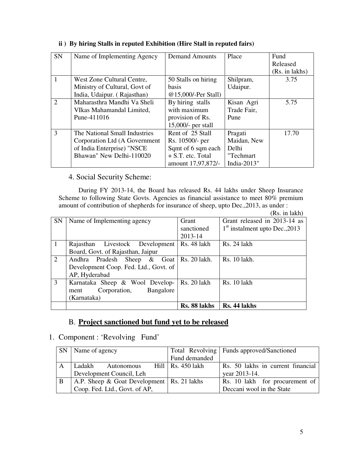| SN           | Name of Implementing Agency   | <b>Demand Amounts</b> | Place          | Fund           |
|--------------|-------------------------------|-----------------------|----------------|----------------|
|              |                               |                       |                | Released       |
|              |                               |                       |                | (Rs. in lakhs) |
|              | West Zone Cultural Centre,    | 50 Stalls on hiring   | Shilpram,      | 3.75           |
|              | Ministry of Cultural, Govt of | <b>basis</b>          | Udaipur.       |                |
|              | India, Udaipur. (Rajasthan)   | @15,000/-Per Stall)   |                |                |
| 2            | Maharasthra Mandhi Va Sheli   | By hiring stalls      | Kisan Agri     | 5.75           |
|              | VIkas Mahamandal Limited,     | with maximum          | Trade Fair,    |                |
|              | Pune-411016                   | provision of Rs.      | Pune           |                |
|              |                               | $15,000$ - per stall  |                |                |
| $\mathbf{3}$ | The National Small Industries | Rent of 25 Stall      | Pragati        | 17.70          |
|              | Corporation Ltd (A Government | Rs. 10500/- per       | Maidan, New    |                |
|              | of India Enterprise) "NSCE    | Sqmt of 6 sqm each    | Delhi          |                |
|              | Bhawan" New Delhi-110020      | $+ S.T.$ etc. Total   | "Techmart      |                |
|              |                               | amount 17,97,872/-    | India- $2013"$ |                |

### **ii ) By hiring Stalls in reputed Exhibition (Hire Stall in reputed fairs)**

## 4. Social Security Scheme:

During FY 2013-14, the Board has released Rs. 44 lakhs under Sheep Insurance Scheme to following State Govts. Agencies as financial assistance to meet 80% premium amount of contribution of shepherds for insurance of sheep, upto Dec.,2013, as under :

(Rs. in lakh)

| $\overline{1}$<br>2<br>3 |                                       | Rs. 88 lakhs | Rs. 44 lakhs                     |
|--------------------------|---------------------------------------|--------------|----------------------------------|
|                          | (Karnataka)                           |              |                                  |
|                          | Bangalore<br>Corporation,<br>ment     |              |                                  |
|                          | Karnataka Sheep & Wool Develop-       | Rs. 20 lakh  | Rs. 10 lakh                      |
|                          | AP, Hyderabad                         |              |                                  |
|                          | Development Coop. Fed. Ltd., Govt. of |              |                                  |
|                          | Andhra Pradesh Sheep & Goat           | Rs. 20 lakh. | Rs. 10 lakh.                     |
|                          |                                       |              |                                  |
|                          | Board, Govt. of Rajasthan, Jaipur     |              |                                  |
|                          | Rajasthan Livestock Development       | Rs. 48 lakh  | Rs. 24 lakh                      |
|                          |                                       | 2013-14      |                                  |
|                          |                                       | sanctioned   | $1st$ instalment upto Dec., 2013 |
| <b>SN</b>                | Name of Implementing agency           | Grant        | Grant released in 2013-14 as     |

## B. **Project sanctioned but fund yet to be released**

### 1. Component : 'Revolving Fund'

| SN  | Name of agency                                  |                          |  | Total Revolving   Funds approved/Sanctioned |                                   |
|-----|-------------------------------------------------|--------------------------|--|---------------------------------------------|-----------------------------------|
|     |                                                 |                          |  | Fund demanded                               |                                   |
| A   | Ladakh                                          | Autonomous               |  | Hill   Rs. 450 lakh                         | Rs. 50 lakhs in current financial |
|     |                                                 | Development Council, Leh |  |                                             | year 2013-14.                     |
| . B | A.P. Sheep $\&$ Goat Development   Rs. 21 lakhs |                          |  |                                             | Rs. 10 lakh for procurement of    |
|     | Coop. Fed. Ltd., Govt. of AP,                   |                          |  |                                             | Deccani wool in the State         |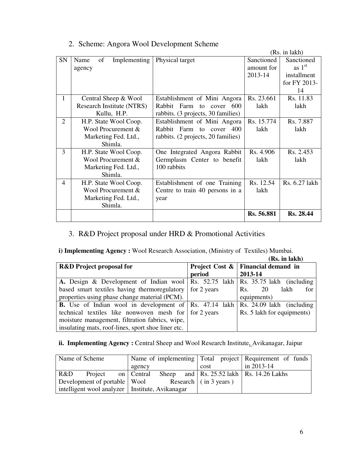|    |                            |                                    |            | (Rs. in lakh) |
|----|----------------------------|------------------------------------|------------|---------------|
| SN | of<br>Implementing<br>Name | Physical target                    | Sanctioned | Sanctioned    |
|    | agency                     |                                    | amount for | as $1st$      |
|    |                            |                                    | 2013-14    | installment   |
|    |                            |                                    |            | for FY 2013-  |
|    |                            |                                    |            | 14            |
| 1  | Central Sheep & Wool       | Establishment of Mini Angora       | Rs. 23.661 | Rs. 11.83     |
|    | Research Institute (NTRS)  | Rabbit Farm<br>to cover 600        | lakh       | lakh          |
|    | Kullu, H.P.                | rabbits. (3 projects, 30 families) |            |               |
| 2  | H.P. State Wool Coop.      | Establishment of Mini Angora       | Rs. 15.774 | Rs. 7.887     |
|    | Wool Procurement &         | Rabbit Farm to cover 400           | lakh       | lakh          |
|    | Marketing Fed. Ltd.,       | rabbits. (2 projects, 20 families) |            |               |
|    | Shimla.                    |                                    |            |               |
| 3  | H.P. State Wool Coop.      | One Integrated Angora Rabbit       | Rs. 4.906  | Rs. 2.453     |
|    | Wool Procurement &         | Germplasm Center to benefit        | lakh       | lakh          |
|    | Marketing Fed. Ltd.,       | 100 rabbits                        |            |               |
|    | Shimla.                    |                                    |            |               |
| 4  | H.P. State Wool Coop.      | Establishment of one Training      | Rs. 12.54  | Rs. 6.27 lakh |
|    | Wool Procurement &         | Centre to train 40 persons in a    | lakh       |               |
|    | Marketing Fed. Ltd.,       | year                               |            |               |
|    | Shimla.                    |                                    |            |               |
|    |                            |                                    | Rs. 56.881 | Rs. 28.44     |
|    |                            |                                    |            |               |

# 2. Scheme: Angora Wool Development Scheme

## 3. R&D Project proposal under HRD & Promotional Activities

**i) Implementing Agency :** Wool Research Association, (Ministry of Textiles) Mumbai.  $(D<sub>s</sub>$  in lakh)

|                                                                                         |        | (RS. 111 18KN)                          |  |
|-----------------------------------------------------------------------------------------|--------|-----------------------------------------|--|
| <b>R&amp;D</b> Project proposal for                                                     |        | Project Cost $\&$   Financial demand in |  |
|                                                                                         | period | 2013-14                                 |  |
| A. Design & Development of Indian wool Rs. 52.75 lakh Rs. 35.75 lakh (including         |        |                                         |  |
| based smart textiles having thermoregulatory for 2 years                                |        | lakh<br>for<br>-20<br>Rs.               |  |
| properties using phase change material (PCM).                                           |        | equipments)                             |  |
| <b>B.</b> Use of Indian wool in development of Rs. 47.14 lakh Rs. 24.09 lakh (including |        |                                         |  |
| technical textiles like nonwoven mesh for for 2 years                                   |        | Rs. 5 lakh for equipments)              |  |
| moisture management, filtration fabrics, wipe,                                          |        |                                         |  |
| insulating mats, roof-lines, sport shoe liner etc.                                      |        |                                         |  |

## ii. Implementing Agency : Central Sheep and Wool Research Institute, Avikanagar, Jaipur

| Name of Scheme                                    |                                                        | Name of implementing Total project Requirement of funds |        |  |  |      |                                                          |  |
|---------------------------------------------------|--------------------------------------------------------|---------------------------------------------------------|--------|--|--|------|----------------------------------------------------------|--|
|                                                   |                                                        |                                                         | agency |  |  | cost | in $2013 - 14$                                           |  |
| R&D                                               | Project on Central                                     |                                                         |        |  |  |      | Sheep and $\vert$ Rs. 25.52 lakh $\vert$ Rs. 14.26 Lakhs |  |
|                                                   | Development of portable   Wool Research   (in 3 years) |                                                         |        |  |  |      |                                                          |  |
| intelligent wool analyzer   Institute, Avikanagar |                                                        |                                                         |        |  |  |      |                                                          |  |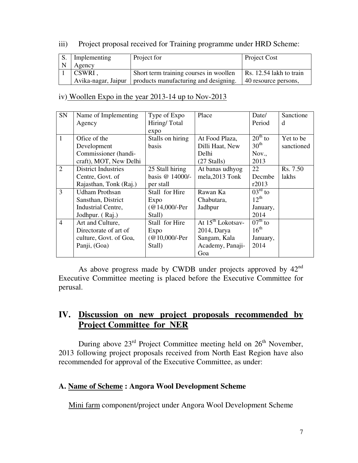## iii) Project proposal received for Training programme under HRD Scheme:

| Implementing        | Project for                            | <b>Project Cost</b>             |
|---------------------|----------------------------------------|---------------------------------|
| Agency              |                                        |                                 |
| CSWRI,              | Short term training courses in woollen | $\vert$ Rs. 12.54 lakh to train |
| Avika-nagar, Jaipur | products manufacturing and designing.  | 40 resource persons,            |

### iv) Woollen Expo in the year 2013-14 up to Nov-2013

| <b>SN</b>      | Name of Implementing       | Type of Expo     | Place                         | Date/                   | Sanctione  |
|----------------|----------------------------|------------------|-------------------------------|-------------------------|------------|
|                | Agency                     | Hiring/Total     |                               | Period                  | d          |
|                |                            | expo             |                               |                         |            |
| $\mathbf{1}$   | Ofice of the               | Stalls on hiring | At Food Plaza,                | $20th$ to               | Yet to be  |
|                | Development                | basis            | Dilli Haat, New               | $30^{\text{th}}$        | sanctioned |
|                | Commissioner (handi-       |                  | Delhi                         | Nov.,                   |            |
|                | craft), MOT, New Delhi     |                  | $(27 \text{ Stalls})$         | 2013                    |            |
| $\overline{2}$ | <b>District Industries</b> | 25 Stall hiring  | At banas udhyog               | 22                      | Rs. 7.50   |
|                | Centre, Govt. of           | basis @ 14000/-  | mela, 2013 Tonk               | Decmbe                  | lakhs      |
|                | Rajasthan, Tonk (Raj.)     | per stall        |                               | r2013                   |            |
| 3              | <b>Udham Prothsan</b>      | Stall for Hire   | Rawan Ka                      | $03^{\text{rd}}$ to     |            |
|                | Sansthan, District         | Expo             | Chabutara,                    | $12^{th}$               |            |
|                | Industrial Centre,         | $(Q$ 14,000/-Per | Jadhpur                       | January,                |            |
|                | Jodhpur. (Raj.)            | Stall)           |                               | 2014                    |            |
| $\overline{4}$ | Art and Culture,           | Stall for Hire   | At 15 <sup>th</sup> Lokotsay- | $\overline{07^{th}}$ to |            |
|                | Directorate of art of      | Expo             | $2014$ , Darya                | $16^{\text{th}}$        |            |
|                | culture, Govt. of Goa,     | $(Q10,000/-Per)$ | Sangam, Kala                  | January,                |            |
|                | Panji, (Goa)               | Stall)           | Academy, Panaji-              | 2014                    |            |
|                |                            |                  | Goa                           |                         |            |

As above progress made by CWDB under projects approved by  $42<sup>nd</sup>$ Executive Committee meeting is placed before the Executive Committee for perusal.

# **IV. Discussion on new project proposals recommended by Project Committee for NER**

During above  $23<sup>rd</sup>$  Project Committee meeting held on  $26<sup>th</sup>$  November, 2013 following project proposals received from North East Region have also recommended for approval of the Executive Committee, as under:

## **A. Name of Scheme : Angora Wool Development Scheme**

Mini farm component/project under Angora Wool Development Scheme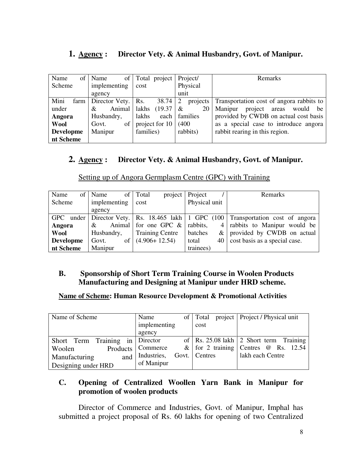# **1. Agency : Director Vety. & Animal Husbandry, Govt. of Manipur.**

| Name<br>of       | Name                 | of Total project | Project/      | <b>Remarks</b>                                        |
|------------------|----------------------|------------------|---------------|-------------------------------------------------------|
| Scheme           | implementing         | cost             | Physical      |                                                       |
|                  | agency               |                  | unit          |                                                       |
| Mini<br>farm     | Director Vety.   Rs. | 38.74            | 2<br>projects | Transportation cost of angora rabbits to              |
| under            | Animal<br>&          | lakhs<br>(19.37) | 20<br>&       | project<br>Manipur<br>would<br><sub>be</sub><br>areas |
| Angora           | Husbandry,           | lakhs<br>each    | families      | provided by CWDB on actual cost basis                 |
| <b>Wool</b>      | of<br>Govt.          | project for 10   | (400)         | as a special case to introduce angora                 |
| <b>Developme</b> | Manipur              | families)        | rabbits)      | rabbit rearing in this region.                        |
| nt Scheme        |                      |                  |               |                                                       |

# **2. Agency : Director Vety. & Animal Husbandry, Govt. of Manipur.**

| Name             | of   Name    | of Total<br>project              | Project       | Remarks                                                                              |
|------------------|--------------|----------------------------------|---------------|--------------------------------------------------------------------------------------|
| Scheme           | implementing | cost                             | Physical unit |                                                                                      |
|                  | agency       |                                  |               |                                                                                      |
|                  |              |                                  |               | GPC under Director Vety. Rs. 18.465 lakh 1 GPC $(100)$ Transportation cost of angora |
| Angora           | &            | Animal for one GPC $\&$ rabbits, |               | 4   rabbits to Manipur would be                                                      |
| Wool             | Husbandry,   | <b>Training Centre</b>           | batches       | $\&$ provided by CWDB on actual                                                      |
| <b>Developme</b> | Govt.        | of $(4.906+12.54)$               | total         | 40 cost basis as a special case.                                                     |
| nt Scheme        | Manipur      |                                  | trainees)     |                                                                                      |

Setting up of Angora Germplasm Centre (GPC) with Training

# **B. Sponsorship of Short Term Training Course in Woolen Products Manufacturing and Designing at Manipur under HRD scheme.**

### **Name of Scheme: Human Resource Development & Promotional Activities**

| Name of Scheme                  | Name                | of Total      | project   Project / Physical unit           |
|---------------------------------|---------------------|---------------|---------------------------------------------|
|                                 | implementing        | cost          |                                             |
|                                 | agency              |               |                                             |
| Short Term Training in Director |                     |               | of   Rs. 25.08 lakh   2 Short term Training |
| Woolen                          | Products   Commerce |               | & for 2 training Centres $\omega$ Rs. 12.54 |
| and<br>Manufacturing            | Industries,         | Govt. Centres | lakh each Centre                            |
| Designing under HRD             | of Manipur          |               |                                             |

## **C. Opening of Centralized Woollen Yarn Bank in Manipur for promotion of woolen products**

 Director of Commerce and Industries, Govt. of Manipur, Imphal has submitted a project proposal of Rs. 60 lakhs for opening of two Centralized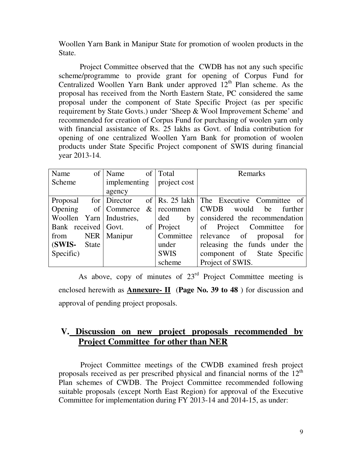Woollen Yarn Bank in Manipur State for promotion of woolen products in the State.

 Project Committee observed that the CWDB has not any such specific scheme/programme to provide grant for opening of Corpus Fund for Centralized Woollen Yarn Bank under approved  $12<sup>th</sup>$  Plan scheme. As the proposal has received from the North Eastern State, PC considered the same proposal under the component of State Specific Project (as per specific requirement by State Govts.) under 'Sheep & Wool Improvement Scheme' and recommended for creation of Corpus Fund for purchasing of woolen yarn only with financial assistance of Rs. 25 lakhs as Govt. of India contribution for opening of one centralized Woollen Yarn Bank for promotion of woolen products under State Specific Project component of SWIS during financial year 2013-14*.* 

| Name                |              | of   Name                  | of   Total   | Remarks                                   |
|---------------------|--------------|----------------------------|--------------|-------------------------------------------|
| Scheme              |              | implementing               | project cost |                                           |
|                     |              | agency                     |              |                                           |
| Proposal            |              | for Director               |              | of Rs. 25 lakh The Executive Committee of |
| Opening             |              | of Commerce                | $&$ recommen | <b>CWDB</b><br>would be<br>further        |
|                     |              | Woollen Yarn   Industries, | by<br>ded    | considered the recommendation             |
| Bank received Govt. |              |                            | of   Project | of Project Committee<br>for               |
| from                |              | NER   Manipur              | Committee    | relevance of proposal for                 |
| (SWIS-              | <b>State</b> |                            | under        | releasing the funds under the             |
| Specific)           |              |                            | <b>SWIS</b>  | component of State Specific               |
|                     |              |                            | scheme       | Project of SWIS.                          |

As above, copy of minutes of  $23<sup>rd</sup>$  Project Committee meeting is enclosed herewith as **Annexure- II** (**Page No. 39 to 48** ) for discussion and approval of pending project proposals.

# **V. Discussion on new project proposals recommended by Project Committee for other than NER**

 Project Committee meetings of the CWDB examined fresh project proposals received as per prescribed physical and financial norms of the  $12<sup>th</sup>$ Plan schemes of CWDB. The Project Committee recommended following suitable proposals (except North East Region) for approval of the Executive Committee for implementation during FY 2013-14 and 2014-15, as under: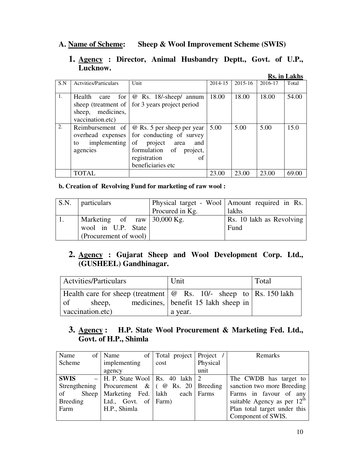## **A. Name of Scheme: Sheep & Wool Improvement Scheme (SWIS)**

### **1. Agency : Director, Animal Husbandry Deptt., Govt. of U.P., Lucknow.**

|     |                              |                            |         |             |         | <b>Rs.</b> in Lakhs |
|-----|------------------------------|----------------------------|---------|-------------|---------|---------------------|
| S.N | <b>Actyities/Particulars</b> | Unit                       | 2014-15 | $2015 - 16$ | 2016-17 | Total               |
|     |                              |                            |         |             |         |                     |
| 1.  | Health<br>for 1<br>care      | @ Rs. 18/-sheep/ annum     | 18.00   | 18.00       | 18.00   | 54.00               |
|     | sheep (treatment of          | for 3 years project period |         |             |         |                     |
|     | medicines,<br>sheep,         |                            |         |             |         |                     |
|     | vaccination.etc)             |                            |         |             |         |                     |
| 2.  | Reimbursement of             | @ Rs. 5 per sheep per year | 5.00    | 5.00        | 5.00    | 15.0                |
|     | overhead expenses            | for conducting of survey   |         |             |         |                     |
|     | implementing<br>to           | of project<br>area<br>and  |         |             |         |                     |
|     | agencies                     | formulation of<br>project, |         |             |         |                     |
|     |                              | registration<br>of         |         |             |         |                     |
|     |                              | beneficiaries etc          |         |             |         |                     |
|     | <b>TOTAL</b>                 |                            | 23.00   | 23.00       | 23.00   | 69.00               |

**b. Creation of Revolving Fund for marketing of raw wool :** 

| S.N. particulars              |                 | Physical target - Wool   Amount required in Rs. |
|-------------------------------|-----------------|-------------------------------------------------|
|                               | Procured in Kg. | lakhs                                           |
| Marketing of raw $30,000$ Kg. |                 | Rs. 10 lakh as Revolving                        |
| wool in U.P. State            |                 | Fund                                            |
| (Procurement of wool)         |                 |                                                 |

# **2. Agency : Gujarat Sheep and Wool Development Corp. Ltd., (GUSHEEL) Gandhinagar.**

| <b>Actvities/Particulars</b>                                                  | Unit                                | Total |
|-------------------------------------------------------------------------------|-------------------------------------|-------|
| Health care for sheep (treatment $\mathcal{Q}$ Rs. 10/- sheep to Rs. 150 lakh |                                     |       |
| $\circ$ of<br>sheep,                                                          | medicines, benefit 15 lakh sheep in |       |
| vaccination.etc)                                                              | a year.                             |       |

# **3. Agency : H.P. State Wool Procurement & Marketing Fed. Ltd., Govt. of H.P., Shimla**

| Name               | of   Name                                                                                                      | of   Total project   Project / |          | Remarks                       |
|--------------------|----------------------------------------------------------------------------------------------------------------|--------------------------------|----------|-------------------------------|
| Scheme             | implementing                                                                                                   | cost                           | Physical |                               |
|                    | agency                                                                                                         |                                | unit     |                               |
| <b>SWIS</b>        | $-$ H. P. State Wool   Rs. 40 lakh   2                                                                         |                                |          | The CWDB has target to        |
|                    | Strengthening   Procurement & $\left( \begin{array}{cc} \varnothing & \text{Rs.} \end{array} \right)$ Breeding |                                |          | sanction two more Breeding    |
| of<br><b>Sheep</b> | Marketing Fed.   lakh each   Farms                                                                             |                                |          | Farms in favour of any        |
| <b>Breeding</b>    | Ltd., Govt. of $\text{Farm}$ )                                                                                 |                                |          | suitable Agency as per $12th$ |
| Farm               | H.P., Shimla                                                                                                   |                                |          | Plan total target under this  |
|                    |                                                                                                                |                                |          | Component of SWIS.            |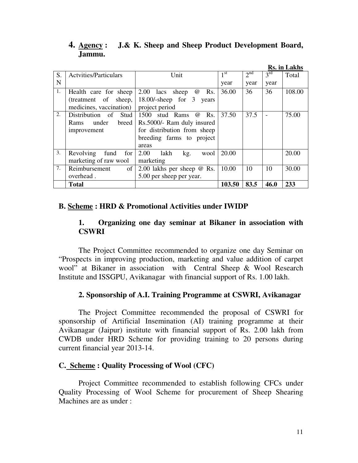|    |                               |                                      |                 |                 |                          | <b>Rs.</b> in Lakhs |
|----|-------------------------------|--------------------------------------|-----------------|-----------------|--------------------------|---------------------|
| S. | <b>Actvities/Particulars</b>  | Unit                                 | 1 <sup>st</sup> | 2 <sup>nd</sup> | 3 <sup>rd</sup>          | Total               |
| N  |                               |                                      | year            | year            | year                     |                     |
| 1. | Health care for sheep         | 2.00 lacs sheep<br>Rs.<br>$\omega$   | 36.00           | 36              | 36                       | 108.00              |
|    | (treatment of sheep,          | $18.00$ /-sheep for 3<br>years       |                 |                 |                          |                     |
|    | medicines, vaccination)       | project period                       |                 |                 |                          |                     |
| 2. | Distribution of<br>Stud       | 1500<br>stud Rams<br>Rs.<br>$\omega$ | 37.50           | 37.5            | $\overline{\phantom{a}}$ | 75.00               |
|    | under<br>breed<br><b>Rams</b> | Rs.5000/- Ram duly insured           |                 |                 |                          |                     |
|    | improvement                   | for distribution from sheep          |                 |                 |                          |                     |
|    |                               | breeding farms to project            |                 |                 |                          |                     |
|    |                               | areas                                |                 |                 |                          |                     |
| 3. | Revolving<br>fund<br>for      | 2.00<br>lakh<br>kg.<br>wool          | 20.00           |                 |                          | 20.00               |
|    | marketing of raw wool         | marketing                            |                 |                 |                          |                     |
| 7. | Reimbursement<br>of           | 2.00 lakhs per sheep $\omega$ Rs.    | 10.00           | 10              | 10                       | 30.00               |
|    | overhead.                     | 5.00 per sheep per year.             |                 |                 |                          |                     |
|    | <b>Total</b>                  |                                      | 103.50          | 83.5            | 46.0                     | 233                 |

## **4. Agency : J.& K. Sheep and Sheep Product Development Board, Jammu.**

### **B. Scheme : HRD & Promotional Activities under IWIDP**

## **1. Organizing one day seminar at Bikaner in association with CSWRI**

 The Project Committee recommended to organize one day Seminar on "Prospects in improving production, marketing and value addition of carpet wool" at Bikaner in association with Central Sheep & Wool Research Institute and ISSGPU, Avikanagar with financial support of Rs. 1.00 lakh.

### **2. Sponsorship of A.I. Training Programme at CSWRI, Avikanagar**

 The Project Committee recommended the proposal of CSWRI for sponsorship of Artificial Insemination (AI) training programme at their Avikanagar (Jaipur) institute with financial support of Rs. 2.00 lakh from CWDB under HRD Scheme for providing training to 20 persons during current financial year 2013-14.

## **C. Scheme : Quality Processing of Wool (CFC)**

 Project Committee recommended to establish following CFCs under Quality Processing of Wool Scheme for procurement of Sheep Shearing Machines are as under :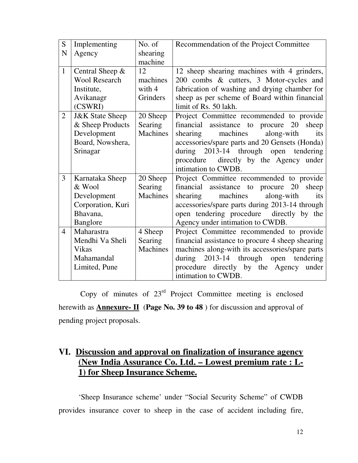| S              | Implementing               | No. of          | Recommendation of the Project Committee          |
|----------------|----------------------------|-----------------|--------------------------------------------------|
| N              | Agency                     | shearing        |                                                  |
|                |                            | machine         |                                                  |
| $\mathbf{1}$   | Central Sheep &            | 12              | 12 sheep shearing machines with 4 grinders,      |
|                | <b>Wool Research</b>       | machines        | 200 combs & cutters, 3 Motor-cycles and          |
|                | Institute,                 | with 4          | fabrication of washing and drying chamber for    |
|                | Avikanagr                  | Grinders        | sheep as per scheme of Board within financial    |
|                | (CSWRI)                    |                 | limit of Rs. 50 lakh.                            |
| $\overline{2}$ | <b>J&amp;K</b> State Sheep | 20 Sheep        | Project Committee recommended to provide         |
|                | & Sheep Products           | Searing         | financial assistance to procure 20<br>sheep      |
|                | Development                | <b>Machines</b> | machines<br>along-with<br>shearing<br>its        |
|                | Board, Nowshera,           |                 | accessories/spare parts and 20 Gensets (Honda)   |
|                | Srinagar                   |                 | during 2013-14 through open tendering            |
|                |                            |                 | procedure directly by the Agency under           |
|                |                            |                 | intimation to CWDB.                              |
| 3              | Karnataka Sheep            | 20 Sheep        | Project Committee recommended to provide         |
|                | & Wool                     | Searing         | financial assistance to procure 20 sheep         |
|                | Development                | <b>Machines</b> | machines<br>along-with<br>shearing<br>its        |
|                | Corporation, Kuri          |                 | accessories/spare parts during 2013-14 through   |
|                | Bhavana,                   |                 | open tendering procedure directly by the         |
|                | Banglore                   |                 | Agency under intimation to CWDB.                 |
| $\overline{4}$ | Maharastra                 | 4 Sheep         | Project Committee recommended to provide         |
|                | Mendhi Va Sheli            | Searing         | financial assistance to procure 4 sheep shearing |
|                | <b>Vikas</b>               | <b>Machines</b> | machines along-with its accessories/spare parts  |
|                | Mahamandal                 |                 | 2013-14 through open tendering<br>during         |
|                | Limited, Pune              |                 | procedure directly by the Agency<br>under        |
|                |                            |                 | intimation to CWDB.                              |

Copy of minutes of  $23<sup>rd</sup>$  Project Committee meeting is enclosed herewith as **Annexure- II** (**Page No. 39 to 48** ) for discussion and approval of pending project proposals.

# **VI. Discussion and approval on finalization of insurance agency (New India Assurance Co. Ltd. – Lowest premium rate : L-1) for Sheep Insurance Scheme.**

'Sheep Insurance scheme' under "Social Security Scheme" of CWDB provides insurance cover to sheep in the case of accident including fire,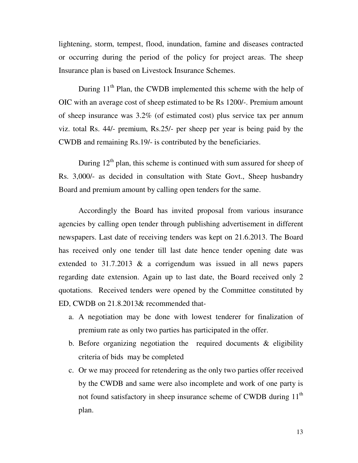lightening, storm, tempest, flood, inundation, famine and diseases contracted or occurring during the period of the policy for project areas. The sheep Insurance plan is based on Livestock Insurance Schemes.

During  $11<sup>th</sup>$  Plan, the CWDB implemented this scheme with the help of OIC with an average cost of sheep estimated to be Rs 1200/-. Premium amount of sheep insurance was 3.2% (of estimated cost) plus service tax per annum viz. total Rs. 44/- premium, Rs.25/- per sheep per year is being paid by the CWDB and remaining Rs.19/- is contributed by the beneficiaries.

During  $12<sup>th</sup>$  plan, this scheme is continued with sum assured for sheep of Rs. 3,000/- as decided in consultation with State Govt., Sheep husbandry Board and premium amount by calling open tenders for the same.

 Accordingly the Board has invited proposal from various insurance agencies by calling open tender through publishing advertisement in different newspapers. Last date of receiving tenders was kept on 21.6.2013. The Board has received only one tender till last date hence tender opening date was extended to 31.7.2013 & a corrigendum was issued in all news papers regarding date extension. Again up to last date, the Board received only 2 quotations. Received tenders were opened by the Committee constituted by ED, CWDB on 21.8.2013& recommended that-

- a. A negotiation may be done with lowest tenderer for finalization of premium rate as only two parties has participated in the offer.
- b. Before organizing negotiation the required documents  $\&$  eligibility criteria of bids may be completed
- c. Or we may proceed for retendering as the only two parties offer received by the CWDB and same were also incomplete and work of one party is not found satisfactory in sheep insurance scheme of CWDB during 11<sup>th</sup> plan.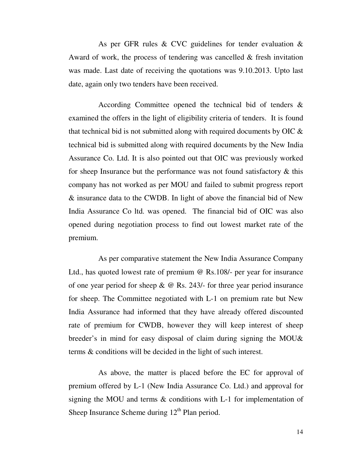As per GFR rules & CVC guidelines for tender evaluation & Award of work, the process of tendering was cancelled  $\&$  fresh invitation was made. Last date of receiving the quotations was 9.10.2013. Upto last date, again only two tenders have been received.

 According Committee opened the technical bid of tenders & examined the offers in the light of eligibility criteria of tenders. It is found that technical bid is not submitted along with required documents by OIC & technical bid is submitted along with required documents by the New India Assurance Co. Ltd. It is also pointed out that OIC was previously worked for sheep Insurance but the performance was not found satisfactory  $\&$  this company has not worked as per MOU and failed to submit progress report & insurance data to the CWDB. In light of above the financial bid of New India Assurance Co ltd. was opened. The financial bid of OIC was also opened during negotiation process to find out lowest market rate of the premium.

 As per comparative statement the New India Assurance Company Ltd., has quoted lowest rate of premium @ Rs.108/- per year for insurance of one year period for sheep  $\& \& \&$  Rs. 243/- for three year period insurance for sheep. The Committee negotiated with L-1 on premium rate but New India Assurance had informed that they have already offered discounted rate of premium for CWDB, however they will keep interest of sheep breeder's in mind for easy disposal of claim during signing the MOU& terms & conditions will be decided in the light of such interest.

 As above, the matter is placed before the EC for approval of premium offered by L-1 (New India Assurance Co. Ltd.) and approval for signing the MOU and terms & conditions with L-1 for implementation of Sheep Insurance Scheme during  $12<sup>th</sup>$  Plan period.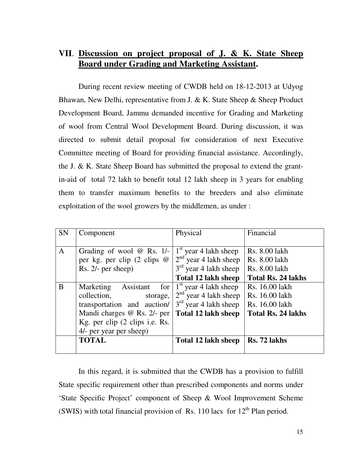# **VII**. **Discussion on project proposal of J. & K. State Sheep Board under Grading and Marketing Assistant.**

 During recent review meeting of CWDB held on 18-12-2013 at Udyog Bhawan, New Delhi, representative from J. & K. State Sheep & Sheep Product Development Board, Jammu demanded incentive for Grading and Marketing of wool from Central Wool Development Board. During discussion, it was directed to submit detail proposal for consideration of next Executive Committee meeting of Board for providing financial assistance. Accordingly, the J. & K. State Sheep Board has submitted the proposal to extend the grantin-aid of total 72 lakh to benefit total 12 lakh sheep in 3 years for enabling them to transfer maximum benefits to the breeders and also eliminate exploitation of the wool growers by the middlemen, as under :

| <b>SN</b>    | Component                                                                                                                                                                           | Physical                                                                                                    | Financial                                                                       |
|--------------|-------------------------------------------------------------------------------------------------------------------------------------------------------------------------------------|-------------------------------------------------------------------------------------------------------------|---------------------------------------------------------------------------------|
| $\mathbf{A}$ | Grading of wool $@$ Rs. 1/-<br>per kg. per clip $(2 \text{ clips } \omega)$<br>Rs. 2/- per sheep)                                                                                   | $1st$ year 4 lakh sheep<br>$2nd$ year 4 lakh sheep<br>$3rd$ year 4 lakh sheep<br><b>Total 12 lakh sheep</b> | Rs. 8.00 lakh<br>Rs. 8.00 lakh<br>Rs. 8.00 lakh<br><b>Total Rs. 24 lakhs</b>    |
| B            | Assistant<br>Marketing<br>for<br>collection,<br>storage,<br>transportation and auction/<br>Mandi charges @ Rs. 2/- per<br>Kg. per clip (2 clips i.e. Rs.<br>4/- per year per sheep) | $1st$ year 4 lakh sheep<br>$2nd$ year 4 lakh sheep<br>$3rd$ year 4 lakh sheep<br>Total 12 lakh sheep        | Rs. 16.00 lakh<br>Rs. 16.00 lakh<br>Rs. 16.00 lakh<br><b>Total Rs. 24 lakhs</b> |
|              | <b>TOTAL</b>                                                                                                                                                                        | Total 12 lakh sheep                                                                                         | Rs. 72 lakhs                                                                    |

 In this regard, it is submitted that the CWDB has a provision to fulfill State specific requirement other than prescribed components and norms under 'State Specific Project' component of Sheep & Wool Improvement Scheme (SWIS) with total financial provision of Rs. 110 lacs for  $12<sup>th</sup>$  Plan period.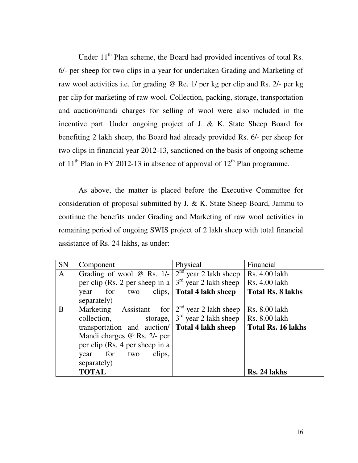Under 11<sup>th</sup> Plan scheme, the Board had provided incentives of total Rs. 6/- per sheep for two clips in a year for undertaken Grading and Marketing of raw wool activities i.e. for grading @ Re. 1/ per kg per clip and Rs. 2/- per kg per clip for marketing of raw wool. Collection, packing, storage, transportation and auction/mandi charges for selling of wool were also included in the incentive part. Under ongoing project of J. & K. State Sheep Board for benefiting 2 lakh sheep, the Board had already provided Rs. 6/- per sheep for two clips in financial year 2012-13, sanctioned on the basis of ongoing scheme of  $11<sup>th</sup>$  Plan in FY 2012-13 in absence of approval of  $12<sup>th</sup>$  Plan programme.

As above, the matter is placed before the Executive Committee for consideration of proposal submitted by J. & K. State Sheep Board, Jammu to continue the benefits under Grading and Marketing of raw wool activities in remaining period of ongoing SWIS project of 2 lakh sheep with total financial assistance of Rs. 24 lakhs, as under:

| <b>SN</b>    | Component                                             | Physical                                     | Financial                 |
|--------------|-------------------------------------------------------|----------------------------------------------|---------------------------|
| $\mathbf{A}$ | Grading of wool $@$ Rs. 1/-                           | $\overline{2}^{\text{nd}}$ year 2 lakh sheep | Rs. 4.00 lakh             |
|              | per clip (Rs. 2 per sheep in a                        | $3rd$ year 2 lakh sheep                      | Rs. 4.00 lakh             |
|              | clips,<br>for<br>two<br>year                          | <b>Total 4 lakh sheep</b>                    | <b>Total Rs. 8 lakhs</b>  |
|              | separately)                                           |                                              |                           |
| B            | Marketing Assistant<br>for                            | $2nd$ year 2 lakh sheep                      | Rs. 8.00 lakh             |
|              | collection,<br>storage,                               | $3rd$ year 2 lakh sheep                      | Rs. 8.00 lakh             |
|              | transportation and auction/ <b>Total 4 lakh sheep</b> |                                              | <b>Total Rs. 16 lakhs</b> |
|              | Mandi charges @ Rs. 2/- per                           |                                              |                           |
|              | per clip (Rs. 4 per sheep in a                        |                                              |                           |
|              | for<br>clips,<br>two<br>year                          |                                              |                           |
|              | separately)                                           |                                              |                           |
|              | <b>TOTAL</b>                                          |                                              | Rs. 24 lakhs              |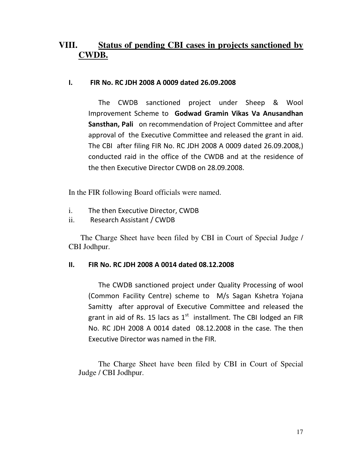# **VIII. Status of pending CBI cases in projects sanctioned by CWDB.**

### I. FIR No. RC JDH 2008 A 0009 dated 26.09.2008

 The CWDB sanctioned project under Sheep & Wool Improvement Scheme to Godwad Gramin Vikas Va Anusandhan Sansthan, Pali on recommendation of Project Committee and after approval of the Executive Committee and released the grant in aid. The CBI after filing FIR No. RC JDH 2008 A 0009 dated 26.09.2008,) conducted raid in the office of the CWDB and at the residence of the then Executive Director CWDB on 28.09.2008.

In the FIR following Board officials were named.

- i. The then Executive Director, CWDB
- ii. Research Assistant / CWDB

The Charge Sheet have been filed by CBI in Court of Special Judge / CBI Jodhpur.

### II. FIR No. RC JDH 2008 A 0014 dated 08.12.2008

 The CWDB sanctioned project under Quality Processing of wool (Common Facility Centre) scheme to M/s Sagan Kshetra Yojana Samitty after approval of Executive Committee and released the grant in aid of Rs. 15 lacs as  $1<sup>st</sup>$  installment. The CBI lodged an FIR No. RC JDH 2008 A 0014 dated 08.12.2008 in the case. The then Executive Director was named in the FIR.

The Charge Sheet have been filed by CBI in Court of Special Judge / CBI Jodhpur.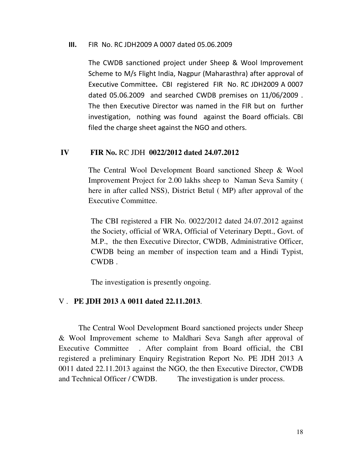#### III. FIR No. RC JDH2009 A 0007 dated 05.06.2009

The CWDB sanctioned project under Sheep & Wool Improvement Scheme to M/s Flight India, Nagpur (Maharasthra) after approval of Executive Committee. CBI registered FIR No. RC JDH2009 A 0007 dated 05.06.2009 and searched CWDB premises on 11/06/2009 . The then Executive Director was named in the FIR but on further investigation, nothing was found against the Board officials. CBI filed the charge sheet against the NGO and others.

### **IV FIR No.** RC JDH **0022/2012 dated 24.07.2012**

The Central Wool Development Board sanctioned Sheep & Wool Improvement Project for 2.00 lakhs sheep to Naman Seva Samity ( here in after called NSS), District Betul ( MP) after approval of the Executive Committee.

The CBI registered a FIR No. 0022/2012 dated 24.07.2012 against the Society, official of WRA, Official of Veterinary Deptt., Govt. of M.P., the then Executive Director, CWDB, Administrative Officer, CWDB being an member of inspection team and a Hindi Typist, CWDB .

The investigation is presently ongoing.

## V . **PE JDH 2013 A 0011 dated 22.11.2013**.

 The Central Wool Development Board sanctioned projects under Sheep & Wool Improvement scheme to Maldhari Seva Sangh after approval of Executive Committee . After complaint from Board official, the CBI registered a preliminary Enquiry Registration Report No. PE JDH 2013 A 0011 dated 22.11.2013 against the NGO, the then Executive Director, CWDB and Technical Officer / CWDB. The investigation is under process.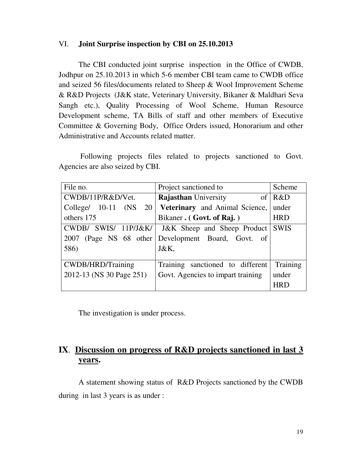#### VI. **Joint Surprise inspection by CBI on 25.10.2013**

The CBI conducted joint surprise inspection in the Office of CWDB, Jodhpur on 25.10.2013 in which 5-6 member CBI team came to CWDB office and seized 56 files/documents related to Sheep & Wool Improvement Scheme & R&D Projects (J&K state, Veterinary University, Bikaner & Maldhari Seva Sangh etc.), Quality Processing of Wool Scheme, Human Resource Development scheme, TA Bills of staff and other members of Executive Committee & Governing Body, Office Orders issued, Honorarium and other Administrative and Accounts related matter.

 Following projects files related to projects sanctioned to Govt. Agencies are also seized by CBI.

| File no.                           | Project sanctioned to                                   | Scheme      |
|------------------------------------|---------------------------------------------------------|-------------|
| CWDB/11P/R&D/Vet.                  | <b>Rajasthan University</b><br>of                       | R&D         |
| $Collect \quad 10-11$<br>(NS<br>20 | Veterinary and Animal Science,                          | under       |
| others 175                         | Bikaner. (Govt. of Raj.)                                | <b>HRD</b>  |
| SWIS/ $11P/J&K/$<br>CWDB/          | J&K Sheep and Sheep Product                             | <b>SWIS</b> |
|                                    | 2007 (Page NS 68 other Development Board, Govt.<br>- of |             |
| 586)                               | J&K,                                                    |             |
|                                    |                                                         |             |
| CWDB/HRD/Training                  | Training sanctioned to different                        | Training    |
| 2012-13 (NS 30 Page 251)           | Govt. Agencies to impart training                       | under       |
|                                    |                                                         | <b>HRT</b>  |

The investigation is under process.

# **IX**. **Discussion on progress of R&D projects sanctioned in last 3 years.**

 A statement showing status of R&D Projects sanctioned by the CWDB during in last 3 years is as under :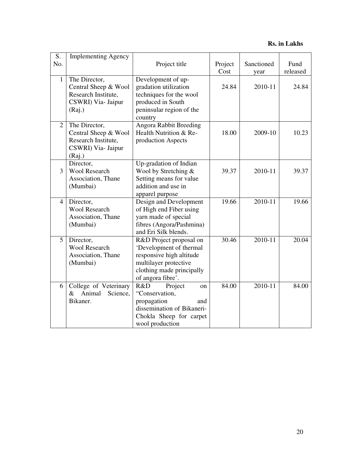**Rs. in Lakhs** 

| S.             | <b>Implementing Agency</b>        |                                                    |         |            |          |
|----------------|-----------------------------------|----------------------------------------------------|---------|------------|----------|
| No.            |                                   | Project title                                      | Project | Sanctioned | Fund     |
|                |                                   |                                                    | Cost    | year       | released |
| $\mathbf{1}$   | The Director,                     | Development of up-                                 |         |            |          |
|                | Central Sheep & Wool              | gradation utilization                              | 24.84   | 2010-11    | 24.84    |
|                | Research Institute,               | techniques for the wool                            |         |            |          |
|                | CSWRI) Via- Jaipur                | produced in South                                  |         |            |          |
|                | (Raj.)                            | peninsular region of the                           |         |            |          |
|                |                                   | country                                            |         |            |          |
| $\overline{2}$ | The Director,                     | <b>Angora Rabbit Breeding</b>                      |         |            |          |
|                | Central Sheep & Wool              | Health Nutrition & Re-                             | 18.00   | 2009-10    | 10.23    |
|                | Research Institute,               | production Aspects                                 |         |            |          |
|                | CSWRI) Via- Jaipur                |                                                    |         |            |          |
|                | (Raj.)                            |                                                    |         |            |          |
|                | Director,                         | Up-gradation of Indian                             |         |            |          |
| 3              | <b>Wool Research</b>              | Wool by Stretching $\&$                            | 39.37   | 2010-11    | 39.37    |
|                | Association, Thane                | Setting means for value                            |         |            |          |
|                | (Mumbai)                          | addition and use in                                |         |            |          |
|                |                                   | apparel purpose                                    |         |            |          |
| 4              | Director,                         | Design and Development                             | 19.66   | 2010-11    | 19.66    |
|                | <b>Wool Research</b>              | of High end Fiber using                            |         |            |          |
|                | Association, Thane                | yarn made of special                               |         |            |          |
|                | (Mumbai)                          | fibres (Angora/Pashmina)                           |         |            |          |
|                |                                   | and Eri Silk blends.                               |         |            |          |
| 5              | Director,<br><b>Wool Research</b> | R&D Project proposal on                            | 30.46   | 2010-11    | 20.04    |
|                |                                   | 'Development of thermal                            |         |            |          |
|                | Association, Thane                | responsive high altitude                           |         |            |          |
|                | (Mumbai)                          | multilayer protective<br>clothing made principally |         |            |          |
|                |                                   | of angora fibre'.                                  |         |            |          |
| 6              | College of Veterinary             | R&D<br>Project<br>$_{\rm on}$                      | 84.00   | 2010-11    | 84.00    |
|                | Animal<br>Science,<br>&           | "Conservation,                                     |         |            |          |
|                | Bikaner.                          | propagation<br>and                                 |         |            |          |
|                |                                   | dissemination of Bikaneri-                         |         |            |          |
|                |                                   | Chokla Sheep for carpet                            |         |            |          |
|                |                                   | wool production                                    |         |            |          |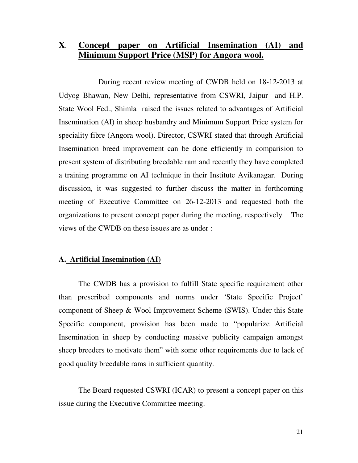# **X**. **Concept paper on Artificial Insemination (AI) and Minimum Support Price (MSP) for Angora wool.**

 During recent review meeting of CWDB held on 18-12-2013 at Udyog Bhawan, New Delhi, representative from CSWRI, Jaipur and H.P. State Wool Fed., Shimla raised the issues related to advantages of Artificial Insemination (AI) in sheep husbandry and Minimum Support Price system for speciality fibre (Angora wool). Director, CSWRI stated that through Artificial Insemination breed improvement can be done efficiently in comparision to present system of distributing breedable ram and recently they have completed a training programme on AI technique in their Institute Avikanagar. During discussion, it was suggested to further discuss the matter in forthcoming meeting of Executive Committee on 26-12-2013 and requested both the organizations to present concept paper during the meeting, respectively. The views of the CWDB on these issues are as under :

### **A. Artificial Insemination (AI)**

 The CWDB has a provision to fulfill State specific requirement other than prescribed components and norms under 'State Specific Project' component of Sheep & Wool Improvement Scheme (SWIS). Under this State Specific component, provision has been made to "popularize Artificial Insemination in sheep by conducting massive publicity campaign amongst sheep breeders to motivate them" with some other requirements due to lack of good quality breedable rams in sufficient quantity.

 The Board requested CSWRI (ICAR) to present a concept paper on this issue during the Executive Committee meeting.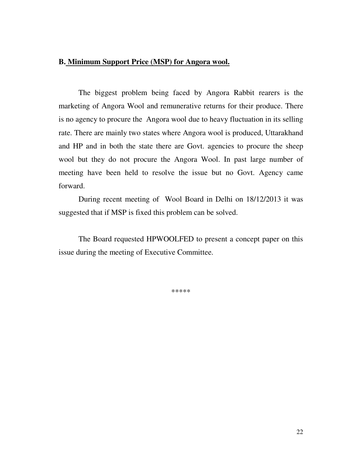### **B. Minimum Support Price (MSP) for Angora wool.**

 The biggest problem being faced by Angora Rabbit rearers is the marketing of Angora Wool and remunerative returns for their produce. There is no agency to procure the Angora wool due to heavy fluctuation in its selling rate. There are mainly two states where Angora wool is produced, Uttarakhand and HP and in both the state there are Govt. agencies to procure the sheep wool but they do not procure the Angora Wool. In past large number of meeting have been held to resolve the issue but no Govt. Agency came forward.

 During recent meeting of Wool Board in Delhi on 18/12/2013 it was suggested that if MSP is fixed this problem can be solved.

The Board requested HPWOOLFED to present a concept paper on this issue during the meeting of Executive Committee.

\*\*\*\*\*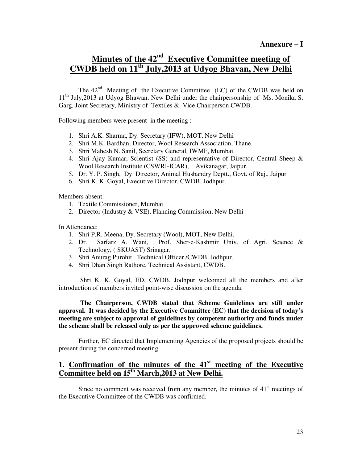# **Minutes of the 42nd Executive Committee meeting of CWDB held on 11th July,2013 at Udyog Bhavan, New Delhi**

The  $42<sup>nd</sup>$  Meeting of the Executive Committee (EC) of the CWDB was held on 11<sup>th</sup> July, 2013 at Udyog Bhawan, New Delhi under the chairpersonship of Ms. Monika S. Garg, Joint Secretary, Ministry of Textiles & Vice Chairperson CWDB.

Following members were present in the meeting :

- 1. Shri A.K. Sharma, Dy. Secretary (IFW), MOT, New Delhi
- 2. Shri M.K. Bardhan, Director, Wool Research Association, Thane.
- 3. Shri Mahesh N. Sanil, Secretary General, IWMF, Mumbai.
- 4. Shri Ajay Kumar, Scientist (SS) and representative of Director, Central Sheep & Wool Research Institute (CSWRI-ICAR), Avikanagar, Jaipur.
- 5. Dr. Y. P. Singh, Dy. Director, Animal Husbandry Deptt., Govt. of Raj., Jaipur
- 6. Shri K. K. Goyal, Executive Director, CWDB, Jodhpur.

Members absent:

- 1. Textile Commissioner, Mumbai
- 2. Director (Industry & VSE), Planning Commission, New Delhi

In Attendance:

- 1. Shri P.R. Meena, Dy. Secretary (Wool), MOT, New Delhi.
- 2. Dr. Sarfarz A. Wani, Prof. Sher-e-Kashmir Univ. of Agri. Science & Technology, ( SKUAST) Srinagar.
- 3. Shri Anurag Purohit, Technical Officer /CWDB, Jodhpur.
- 4. Shri Dhan Singh Rathore, Technical Assistant, CWDB.

 Shri K. K. Goyal, ED, CWDB, Jodhpur welcomed all the members and after introduction of members invited point-wise discussion on the agenda.

#### **The Chairperson, CWDB stated that Scheme Guidelines are still under approval. It was decided by the Executive Committee (EC) that the decision of today's meeting are subject to approval of guidelines by competent authority and funds under the scheme shall be released only as per the approved scheme guidelines.**

Further, EC directed that Implementing Agencies of the proposed projects should be present during the concerned meeting.

# **1. Confirmation of the minutes of the 41st meeting of the Executive Committee held on 15th March,2013 at New Delhi.**

Since no comment was received from any member, the minutes of  $41<sup>st</sup>$  meetings of the Executive Committee of the CWDB was confirmed.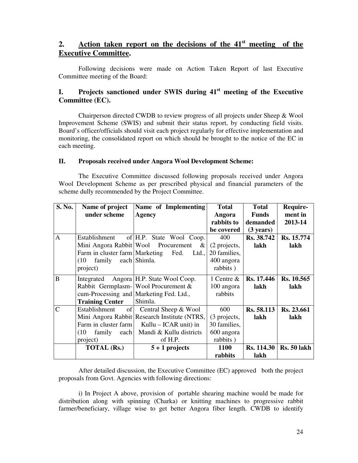## **2. Action taken report on the decisions of the 41st meeting of the Executive Committee.**

Following decisions were made on Action Taken Report of last Executive Committee meeting of the Board:

## **I. Projects sanctioned under SWIS during 41st meeting of the Executive Committee (EC).**

Chairperson directed CWDB to review progress of all projects under Sheep & Wool Improvement Scheme (SWIS) and submit their status report, by conducting field visits. Board's officer/officials should visit each project regularly for effective implementation and monitoring, the consolidated report on which should be brought to the notice of the EC in each meeting.

#### **II. Proposals received under Angora Wool Development Scheme:**

The Executive Committee discussed following proposals received under Angora Wool Development Scheme as per prescribed physical and financial parameters of the scheme dully recommended by the Project Committee.

| S. No.         | Name of project                     | Name of Implementing                         | <b>Total</b>   | <b>Total</b>        | Require-           |
|----------------|-------------------------------------|----------------------------------------------|----------------|---------------------|--------------------|
|                | under scheme                        | Agency                                       | Angora         | <b>Funds</b>        | ment in            |
|                |                                     |                                              | rabbits to     | demanded            | 2013-14            |
|                |                                     |                                              | be covered     | $(3 \text{ years})$ |                    |
| A              | Establishment                       | of H.P. State Wool Coop.                     | 400            | Rs. 38.742          | Rs. 15.774         |
|                |                                     | Mini Angora Rabbit   Wool Procurement &      | (2 projects,   | lakh                | lakh               |
|                | Farm in cluster farm Marketing Fed. | Ltd.,                                        | 20 families,   |                     |                    |
|                | family each Shimla.<br>(10)         |                                              | 400 angora     |                     |                    |
|                | project)                            |                                              | rabbits)       |                     |                    |
| B              |                                     | Integrated Angora H.P. State Wool Coop.      | 1 Centre $\&$  | <b>Rs.</b> 17.446   | Rs. 10.565         |
|                |                                     | Rabbit Germplasm- Wool Procurement &         | 100 angora     | lakh                | lakh               |
|                |                                     | cum-Processing and Marketing Fed. Ltd.,      | rabbits        |                     |                    |
|                | <b>Training Center</b>              | Shimla.                                      |                |                     |                    |
| $\overline{C}$ | of<br>Establishment                 | Central Sheep & Wool                         | 600            | Rs. 58.113          | Rs. 23.661         |
|                |                                     | Mini Angora Rabbit Research Institute (NTRS, | $(3$ projects, | lakh                | lakh               |
|                | Farm in cluster farm                | Kullu – ICAR unit) in                        | 30 families,   |                     |                    |
|                | (10)<br>family<br>each              | Mandi & Kullu districts                      | 600 angora     |                     |                    |
|                | project)                            | of H.P.                                      | rabbits)       |                     |                    |
|                | <b>TOTAL (Rs.)</b>                  | $5 + 1$ projects                             | <b>1100</b>    | <b>Rs.</b> 114.30   | <b>Rs. 50 lakh</b> |
|                |                                     |                                              | rabbits        | lakh                |                    |

After detailed discussion, the Executive Committee (EC) approved both the project proposals from Govt. Agencies with following directions:

i) In Project A above, provision of portable shearing machine would be made for distribution along with spinning (Charka) or knitting machines to progressive rabbit farmer/beneficiary, village wise to get better Angora fiber length. CWDB to identify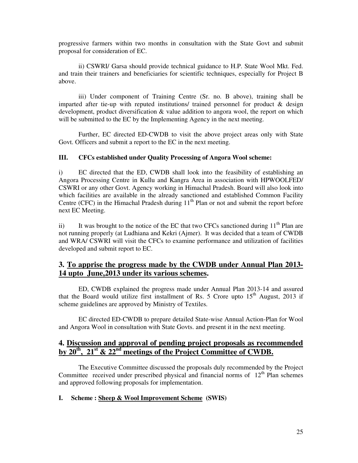progressive farmers within two months in consultation with the State Govt and submit proposal for consideration of EC.

ii) CSWRI/ Garsa should provide technical guidance to H.P. State Wool Mkt. Fed. and train their trainers and beneficiaries for scientific techniques, especially for Project B above.

iii) Under component of Training Centre (Sr. no. B above), training shall be imparted after tie-up with reputed institutions/ trained personnel for product  $\&$  design development, product diversification & value addition to angora wool, the report on which will be submitted to the EC by the Implementing Agency in the next meeting.

Further, EC directed ED-CWDB to visit the above project areas only with State Govt. Officers and submit a report to the EC in the next meeting.

#### **III. CFCs established under Quality Processing of Angora Wool scheme:**

i) EC directed that the ED, CWDB shall look into the feasibility of establishing an Angora Processing Centre in Kullu and Kangra Area in association with HPWOOLFED/ CSWRI or any other Govt. Agency working in Himachal Pradesh. Board will also look into which facilities are available in the already sanctioned and established Common Facility Centre (CFC) in the Himachal Pradesh during  $11<sup>th</sup>$  Plan or not and submit the report before next EC Meeting.

ii) It was brought to the notice of the EC that two CFCs sanctioned during  $11<sup>th</sup>$  Plan are not running properly (at Ludhiana and Kekri (Ajmer). It was decided that a team of CWDB and WRA/ CSWRI will visit the CFCs to examine performance and utilization of facilities developed and submit report to EC.

### **3. To apprise the progress made by the CWDB under Annual Plan 2013- 14 upto June,2013 under its various schemes.**

ED, CWDB explained the progress made under Annual Plan 2013-14 and assured that the Board would utilize first installment of Rs. 5 Crore upto  $15<sup>th</sup>$  August, 2013 if scheme guidelines are approved by Ministry of Textiles.

EC directed ED-CWDB to prepare detailed State-wise Annual Action-Plan for Wool and Angora Wool in consultation with State Govts. and present it in the next meeting.

## **4. Discussion and approval of pending project proposals as recommended by 20th, 21st & 22nd meetings of the Project Committee of CWDB.**

The Executive Committee discussed the proposals duly recommended by the Project Committee received under prescribed physical and financial norms of  $12<sup>th</sup>$  Plan schemes and approved following proposals for implementation.

#### **I. Scheme : Sheep & Wool Improvement Scheme (SWIS)**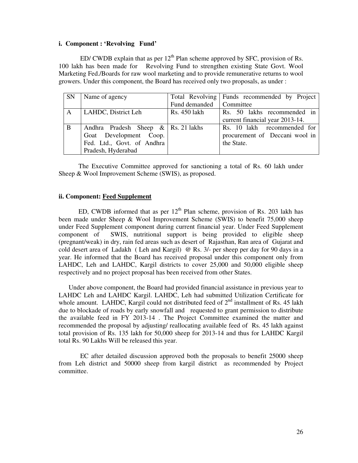#### **i. Component : 'Revolving Fund'**

ED/ CWDB explain that as per  $12<sup>th</sup>$  Plan scheme approved by SFC, provision of Rs. 100 lakh has been made for Revolving Fund to strengthen existing State Govt. Wool Marketing Fed./Boards for raw wool marketing and to provide remunerative returns to wool growers. Under this component, the Board has received only two proposals, as under :

| SN | Name of agency                           |                           | Total Revolving Funds recommended by Project |
|----|------------------------------------------|---------------------------|----------------------------------------------|
|    |                                          | Fund demanded   Committee |                                              |
| A  | LAHDC, District Leh                      | Rs. 450 lakh              | Rs. 50 lakhs recommended in                  |
|    |                                          |                           | current financial year 2013-14.              |
| B  | Andhra Pradesh Sheep $\&$   Rs. 21 lakhs |                           | Rs. 10 lakh recommended for                  |
|    | Goat Development Coop.                   |                           | procurement of Deccani wool in               |
|    | Fed. Ltd., Govt. of Andhra               |                           | the State.                                   |
|    | Pradesh, Hyderabad                       |                           |                                              |

The Executive Committee approved for sanctioning a total of Rs. 60 lakh under Sheep & Wool Improvement Scheme (SWIS), as proposed.

#### **ii. Component: Feed Supplement**

ED, CWDB informed that as per  $12<sup>th</sup>$  Plan scheme, provision of Rs. 203 lakh has been made under Sheep & Wool Improvement Scheme (SWIS) to benefit 75,000 sheep under Feed Supplement component during current financial year. Under Feed Supplement component of SWIS, nutritional support is being provided to eligible sheep (pregnant/weak) in dry, rain fed areas such as desert of Rajasthan, Ran area of Gujarat and cold desert area of Ladakh ( Leh and Kargil) @ Rs. 3/- per sheep per day for 90 days in a year. He informed that the Board has received proposal under this component only from LAHDC, Leh and LAHDC, Kargil districts to cover 25,000 and 50,000 eligible sheep respectively and no project proposal has been received from other States.

Under above component, the Board had provided financial assistance in previous year to LAHDC Leh and LAHDC Kargil. LAHDC, Leh had submitted Utilization Certificate for whole amount. LAHDC, Kargil could not distributed feed of  $2<sup>nd</sup>$  installment of Rs. 45 lakh due to blockade of roads by early snowfall and requested to grant permission to distribute the available feed in FY 2013-14 . The Project Committee examined the matter and recommended the proposal by adjusting/ reallocating available feed of Rs. 45 lakh against total provision of Rs. 135 lakh for 50,000 sheep for 2013-14 and thus for LAHDC Kargil total Rs. 90 Lakhs Will be released this year.

 EC after detailed discussion approved both the proposals to benefit 25000 sheep from Leh district and 50000 sheep from kargil district as recommended by Project committee.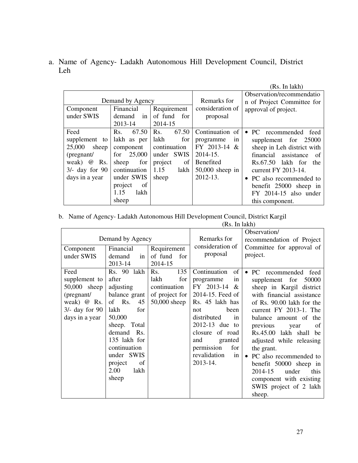a. Name of Agency- Ladakh Autonomous Hill Development Council, District Leh

|                                                                                                                                   |                                                                                                                                                   |                                                                                                     |                                                                                                                          | (Rs. In lakh)                                                                                                                                                                                                                                                                |
|-----------------------------------------------------------------------------------------------------------------------------------|---------------------------------------------------------------------------------------------------------------------------------------------------|-----------------------------------------------------------------------------------------------------|--------------------------------------------------------------------------------------------------------------------------|------------------------------------------------------------------------------------------------------------------------------------------------------------------------------------------------------------------------------------------------------------------------------|
|                                                                                                                                   | Demand by Agency                                                                                                                                  |                                                                                                     | Remarks for                                                                                                              | Observation/recommendatio<br>n of Project Committee for                                                                                                                                                                                                                      |
| Component<br>under SWIS                                                                                                           | Financial<br>demand<br>in<br>2013-14                                                                                                              | Requirement<br>of fund<br>for<br>2014-15                                                            | consideration of<br>proposal                                                                                             | approval of project.                                                                                                                                                                                                                                                         |
| Feed<br>supplement to<br>25,000<br>sheep<br>(pregnant/<br>weak)<br>Rs.<br>$^{\copyright}$<br>$3/-$ day for $90$<br>days in a year | Rs.<br>67.50<br>lakh as per<br>component<br>25,000<br>for<br>for<br>sheep<br>continuation<br>under SWIS<br>of<br>project<br>lakh<br>1.15<br>sheep | 67.50<br>Rs.<br>for<br>lakh<br>continuation<br>under SWIS<br>project<br>of<br>1.15<br>lakh<br>sheep | Continuation<br>-of<br>programme<br>1n<br>FY 2013-14<br>&<br>$2014 - 15$ .<br>Benefited<br>$50,000$ sheep in<br>2012-13. | recommended<br>$\bullet$ PC<br>feed<br>supplement for 25000<br>sheep in Leh district with<br>financial assistance<br>-of<br>$Rs.67.50$ lakh for the<br>current FY 2013-14.<br>• PC also recommended to<br>benefit 25000 sheep in<br>FY 2014-15 also under<br>this component. |

#### b. Name of Agency- Ladakh Autonomous Hill Development Council, District Kargil

|                                                                                                            |                                                                                                                                                                                                                   |                                                                               | (Rs. In lakh)                                                                                                                                                                                                                                        |                                                                                                                                                                                                                                                                                                                                                                                                                                                                      |
|------------------------------------------------------------------------------------------------------------|-------------------------------------------------------------------------------------------------------------------------------------------------------------------------------------------------------------------|-------------------------------------------------------------------------------|------------------------------------------------------------------------------------------------------------------------------------------------------------------------------------------------------------------------------------------------------|----------------------------------------------------------------------------------------------------------------------------------------------------------------------------------------------------------------------------------------------------------------------------------------------------------------------------------------------------------------------------------------------------------------------------------------------------------------------|
|                                                                                                            | Demand by Agency                                                                                                                                                                                                  |                                                                               | Remarks for                                                                                                                                                                                                                                          | Observation/<br>recommendation of Project                                                                                                                                                                                                                                                                                                                                                                                                                            |
| Component<br>under SWIS                                                                                    | Financial<br>demand<br>in l<br>2013-14                                                                                                                                                                            | Requirement<br>of fund<br>for<br>2014-15                                      | consideration of<br>proposal                                                                                                                                                                                                                         | Committee for approval of<br>project.                                                                                                                                                                                                                                                                                                                                                                                                                                |
| Feed<br>supplement to<br>50,000 sheep<br>(pregnant/<br>weak) $@$ Rs.<br>$3/-$ day for 90<br>days in a year | Rs. 90 lakh<br>after<br>adjusting<br>balance grant<br>of Rs.<br>45<br>lakh<br>for<br>50,000<br>sheep. Total<br>demand Rs.<br>135 lakh for<br>continuation<br>under SWIS<br>project<br>of<br>2.00<br>lakh<br>sheep | 135<br>Rs.<br>lakh<br>for<br>continuation<br>of project for<br>$50,000$ sheep | Continuation<br>of<br>programme<br>in<br>FY 2013-14<br>$\&$<br>2014-15. Feed of<br>Rs. 45 lakh has<br>been<br>not<br>distributed<br>in<br>2012-13 due to<br>closure of road<br>granted<br>and<br>permission<br>for<br>revalidation<br>in<br>2013-14. | PC recommended<br>feed<br>$\bullet$<br>supplement for<br>50000<br>sheep in Kargil district<br>with financial assistance<br>of Rs. 90.00 lakh for the<br>current FY 2013-1. The<br>balance amount of the<br>previous<br>year<br>of<br>Rs.45.00 lakh shall<br>be<br>adjusted while releasing<br>the grant.<br>PC also recommended to<br>$\bullet$<br>benefit 50000 sheep in<br>2014-15<br>under<br>this<br>component with existing<br>SWIS project of 2 lakh<br>sheep. |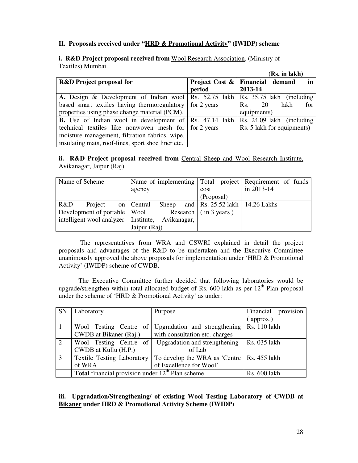#### **II. Proposals received under "HRD & Promotional Activity" (IWIDP) scheme**

#### **i. R&D Project proposal received from** Wool Research Association, (Ministry of Textiles) Mumbai.

|                                                                                                |             | (Rs. in lakh)                                      |
|------------------------------------------------------------------------------------------------|-------------|----------------------------------------------------|
| <b>R&amp;D</b> Project proposal for                                                            |             | <b>Project Cost &amp;   Financial demand</b><br>in |
|                                                                                                | period      | 2013-14                                            |
| A. Design & Development of Indian wool   Rs. 52.75 lakh   Rs. 35.75 lakh (including            |             |                                                    |
| based smart textiles having thermoregulatory                                                   | for 2 years | lakh<br>20<br>for<br>Rs.                           |
| properties using phase change material (PCM).                                                  |             | equipments)                                        |
| <b>B.</b> Use of Indian wool in development of $\left  \text{Rs. } 47.14 \text{ lakh} \right $ |             | Rs. 24.09 lakh (including                          |
| technical textiles like nonwoven mesh for for 2 years                                          |             | Rs. 5 lakh for equipments)                         |
| moisture management, filtration fabrics, wipe,                                                 |             |                                                    |
| insulating mats, roof-lines, sport shoe liner etc.                                             |             |                                                    |

#### ii. R&D Project proposal received from Central Sheep and Wool Research Institute, Avikanagar, Jaipur (Raj)

| Name of Scheme                                     |                    | Name of implementing Total project Requirement of funds |                              |  |      |            |            |                                            |  |
|----------------------------------------------------|--------------------|---------------------------------------------------------|------------------------------|--|------|------------|------------|--------------------------------------------|--|
|                                                    |                    | agency                                                  |                              |  | cost |            | in 2013-14 |                                            |  |
|                                                    |                    |                                                         |                              |  |      | (Proposal) |            |                                            |  |
| R&D                                                | Project on Central |                                                         |                              |  |      |            |            | Sheep and   Rs. $25.52$ lakh   14.26 Lakhs |  |
| Development of portable   Wool                     |                    |                                                         | Research $\int$ (in 3 years) |  |      |            |            |                                            |  |
| intelligent wool analyzer   Institute, Avikanagar, |                    |                                                         |                              |  |      |            |            |                                            |  |
|                                                    |                    | Jaipur (Raj)                                            |                              |  |      |            |            |                                            |  |

 The representatives from WRA and CSWRI explained in detail the project proposals and advantages of the R&D to be undertaken and the Executive Committee unanimously approved the above proposals for implementation under 'HRD & Promotional Activity' (IWIDP) scheme of CWDB.

The Executive Committee further decided that following laboratories would be upgrade/strengthen within total allocated budget of Rs. 600 lakh as per  $12<sup>th</sup>$  Plan proposal under the scheme of 'HRD & Promotional Activity' as under:

| <b>SN</b> | Laboratory                                                | Purpose                                      | Financial provision |
|-----------|-----------------------------------------------------------|----------------------------------------------|---------------------|
|           |                                                           |                                              | approx.)            |
|           | Wool Testing Centre of                                    | Upgradation and strengthening                | Rs. 110 lakh        |
|           | CWDB at Bikaner (Raj.)                                    | with consultation etc. charges               |                     |
| 2         | Wool Testing Centre of                                    | Upgradation and strengthening                | Rs. 035 lakh        |
|           | CWDB at Kullu (H.P.)                                      | of Lab                                       |                     |
| 3         | <b>Textile Testing Laboratory</b>                         | To develop the WRA as 'Centre   Rs. 455 lakh |                     |
|           | of WRA                                                    | of Excellence for Wool'                      |                     |
|           | <b>Total</b> financial provision under $12th$ Plan scheme | <b>Rs. 600 lakh</b>                          |                     |

#### **iii. Upgradation/Strengthening/ of existing Wool Testing Laboratory of CWDB at Bikaner under HRD & Promotional Activity Scheme (IWIDP)**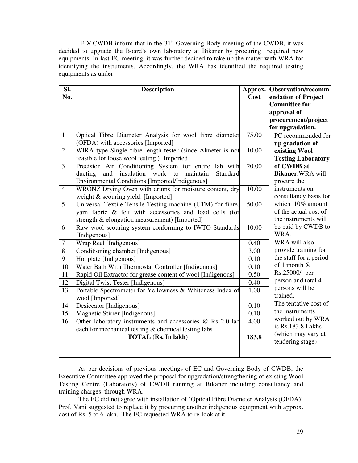ED/ CWDB inform that in the  $31<sup>st</sup>$  Governing Body meeting of the CWDB, it was decided to upgrade the Board's own laboratory at Bikaner by procuring required new equipments. In last EC meeting, it was further decided to take up the matter with WRA for identifying the instruments. Accordingly, the WRA has identified the required testing equipments as under

| SI.             | <b>Description</b>                                          | Approx.            | <b>Observation/recomm</b>              |
|-----------------|-------------------------------------------------------------|--------------------|----------------------------------------|
| No.             |                                                             | Cost               | endation of Project                    |
|                 |                                                             |                    | <b>Committee for</b>                   |
|                 |                                                             |                    | approval of                            |
|                 |                                                             |                    | procurement/project                    |
|                 |                                                             |                    | for upgradation.                       |
| $\mathbf{1}$    | Optical Fibre Diameter Analysis for wool fibre diameter     | 75.00              | PC recommended for                     |
|                 | (OFDA) with accessories [Imported]                          |                    | up gradation of                        |
| $\overline{2}$  | WIRA type Single fibre length tester (since Almeter is not  | 10.00              | existing Wool                          |
|                 | feasible for loose wool testing ) [Imported]                |                    | <b>Testing Laboratory</b>              |
| $\overline{3}$  | Precision Air Conditioning System for entire lab with       | $\overline{20.00}$ | of CWDB at                             |
|                 | and insulation work to maintain<br>Standard<br>ducting      |                    | Bikaner.WRA will                       |
|                 | <b>Environmental Conditions [Imported/Indigenous]</b>       |                    | procure the                            |
| $\overline{4}$  | WRONZ Drying Oven with drums for moisture content, dry      | 10.00              | instruments on                         |
|                 | weight & scouring yield. [Imported]                         |                    | consultancy basis for                  |
| 5               | Universal Textile Tensile Testing machine (UTM) for fibre,  | 50.00              | which 10% amount                       |
|                 | yarn fabric & felt with accessories and load cells (for     |                    | of the actual cost of                  |
|                 | strength & elongation measurement) [Imported]               |                    | the instruments will                   |
| 6               | Raw wool scouring system conforming to IWTO Standards       | 10.00              | be paid by CWDB to                     |
|                 | [Indigenous]                                                |                    | WRA.                                   |
| 7               | Wrap Reel [Indigenous]                                      | 0.40               | WRA will also                          |
| $\overline{8}$  | Conditioning chamber [Indigenous]                           | 3.00               | provide training for                   |
| 9               | Hot plate [Indigenous]                                      | 0.10               | the staff for a period                 |
| 10              | Water Bath With Thermostat Controller [Indigenous]          | 0.10               | of 1 month @                           |
| $\overline{11}$ | Rapid Oil Extractor for grease content of wool [Indigenous] | 0.50               | Rs.25000/- per                         |
| 12              | Digital Twist Tester [Indigenous]                           | 0.40               | person and total 4                     |
| 13              | Portable Spectrometer for Yellowness & Whiteness Index of   | 1.00               | persons will be                        |
|                 | wool [Imported]                                             |                    | trained.                               |
| 14              | Desiccator [Indigenous]                                     | $\overline{0.10}$  | The tentative cost of                  |
| 15              | Magnetic Stirrer [Indigenous]                               | 0.10               | the instruments                        |
| 16              | Other laboratory instruments and accessories @ Rs 2.0 lac   | 4.00               | worked out by WRA                      |
|                 | each for mechanical testing & chemical testing labs         |                    | is Rs.183.8 Lakhs                      |
|                 | <b>TOTAL</b> (Rs. In lakh)                                  | 183.8              | (which may vary at<br>tendering stage) |
|                 |                                                             |                    |                                        |
|                 |                                                             |                    |                                        |

 As per decisions of previous meetings of EC and Governing Body of CWDB, the Executive Committee approved the proposal for upgradation/strengthening of existing Wool Testing Centre (Laboratory) of CWDB running at Bikaner including consultancy and training charges through WRA.

The EC did not agree with installation of 'Optical Fibre Diameter Analysis (OFDA)' Prof. Vani suggested to replace it by procuring another indigenous equipment with approx. cost of Rs. 5 to 6 lakh. The EC requested WRA to re-look at it.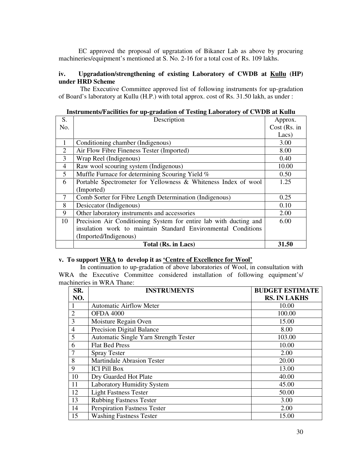EC approved the proposal of upgratation of Bikaner Lab as above by procuring machineries/equipment's mentioned at S. No. 2-16 for a total cost of Rs. 109 lakhs.

#### **iv. Upgradation/strengthening of existing Laboratory of CWDB at Kullu (HP) under HRD Scheme**

 The Executive Committee approved list of following instruments for up-gradation of Board's laboratory at Kullu (H.P.) with total approx. cost of Rs. 31.50 lakh, as under :

|                | $\mu$ and $\mu$ and $\mu$ and $\mu$ and $\mu$ and $\mu$ and $\mu$ and $\mu$ and $\mu$ and $\mu$ and $\mu$ and $\mu$ |              |
|----------------|---------------------------------------------------------------------------------------------------------------------|--------------|
| S.             | Description                                                                                                         | Approx.      |
| No.            |                                                                                                                     | Cost (Rs. in |
|                |                                                                                                                     | Lacs)        |
| 1              | Conditioning chamber (Indigenous)                                                                                   | 3.00         |
| 2              | Air Flow Fibre Fineness Tester (Imported)                                                                           | 8.00         |
| 3              | Wrap Reel (Indigenous)                                                                                              | 0.40         |
| $\overline{4}$ | Raw wool scouring system (Indigenous)                                                                               | 10.00        |
| 5              | Muffle Furnace for determining Scouring Yield %                                                                     | 0.50         |
| 6              | Portable Spectrometer for Yellowness & Whiteness Index of wool                                                      | 1.25         |
|                | (Imported)                                                                                                          |              |
| 7              | Comb Sorter for Fibre Length Determination (Indigenous)                                                             | 0.25         |
| 8              | Desiccator (Indigenous)                                                                                             | 0.10         |
| 9              | Other laboratory instruments and accessories                                                                        | 2.00         |
| 10             | Precision Air Conditioning System for entire lab with ducting and                                                   | 6.00         |
|                | insulation work to maintain Standard Environmental Conditions                                                       |              |
|                | (Imported/Indigenous)                                                                                               |              |
|                | Total (Rs. in Lacs)                                                                                                 | 31.50        |

### **Instruments/Facilities for up-gradation of Testing Laboratory of CWDB at Kullu**

#### **v. To support WRA to develop it as 'Centre of Excellence for Wool'**

In continuation to up-gradation of above laboratories of Wool, in consultation with WRA the Executive Committee considered installation of following equipment's/ machineries in WRA Thane:

| SR.            | <b>INSTRUMENTS</b>                    | <b>BUDGET ESTIMATE</b> |
|----------------|---------------------------------------|------------------------|
| NO.            |                                       | <b>RS. IN LAKHS</b>    |
| 1              | <b>Automatic Airflow Meter</b>        | 10.00                  |
| $\overline{2}$ | <b>OFDA 4000</b>                      | 100.00                 |
| 3              | Moisture Regain Oven                  | 15.00                  |
| $\overline{4}$ | Precision Digital Balance             | 8.00                   |
| 5              | Automatic Single Yarn Strength Tester | 103.00                 |
| 6              | <b>Flat Bed Press</b>                 | 10.00                  |
|                | <b>Spray Tester</b>                   | 2.00                   |
| 8              | <b>Martindale Abrasion Tester</b>     | 20.00                  |
| 9              | <b>ICI Pill Box</b>                   | 13.00                  |
| 10             | Dry Guarded Hot Plate                 | 40.00                  |
| 11             | <b>Laboratory Humidity System</b>     | 45.00                  |
| 12             | <b>Light Fastness Tester</b>          | 50.00                  |
| 13             | <b>Rubbing Fastness Tester</b>        | 3.00                   |
| 14             | <b>Perspiration Fastness Tester</b>   | 2.00                   |
| 15             | <b>Washing Fastness Tester</b>        | 15.00                  |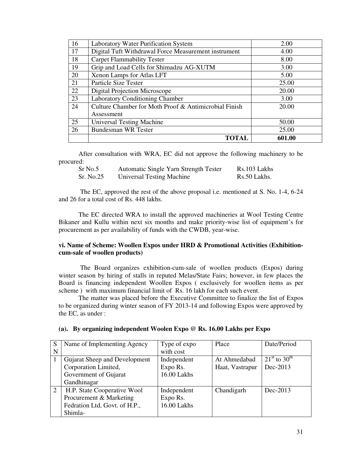| 16 | Laboratory Water Purification System                  | 2.00   |
|----|-------------------------------------------------------|--------|
| 17 | Digital Tuft Withdrawal Force Measurement instrument  | 4.00   |
| 18 | <b>Carpet Flammability Tester</b>                     | 8.00   |
| 19 | Grip and Load Cells for Shimadzu AG-XUTM              | 3.00   |
| 20 | Xenon Lamps for Atlas LFT                             | 5.00   |
| 21 | Particle Size Tester                                  | 25.00  |
| 22 | Digital Projection Microscope                         | 20.00  |
| 23 | Laboratory Conditioning Chamber                       | 3.00   |
| 24 | Culture Chamber for Moth Proof & Antimicrobial Finish | 20.00  |
|    | Assessment                                            |        |
| 25 | <b>Universal Testing Machine</b>                      | 50.00  |
| 26 | <b>Bundesman WR Tester</b>                            | 25.00  |
|    | <b>TOTAL</b>                                          | 601.00 |

After consultation with WRA, EC did not approve the following machinery to be procured:

| Sr No.5   | Automatic Single Yarn Strength Tester | Rs.103 Lakhs |
|-----------|---------------------------------------|--------------|
| Sr. No.25 | Universal Testing Machine             | Rs.50 Lakhs. |

 The EC, approved the rest of the above proposal i.e. mentioned at S. No. 1-4, 6-24 and 26 for a total cost of Rs. 448 lakhs.

The EC directed WRA to install the approved machineries at Wool Testing Centre Bikaner and Kullu within next six months and make priority-wise list of equipment's for procurement as per availability of funds with the CWDB, year-wise.

#### **vi. Name of Scheme: Woollen Expos under HRD & Promotional Activities (Exhibitioncum-sale of woollen products)**

 The Board organizes exhibition-cum-sale of woollen products (Expos) during winter season by hiring of stalls in reputed Melas/State Fairs; however, in few places the Board is financing independent Woollen Expos ( exclusively for woollen items as per scheme ) with maximum financial limit of Rs. 16 lakh for each such event.

The matter was placed before the Executive Committee to finalize the list of Expos to be organized during winter season of FY 2013-14 and following Expos were approved by the EC, as under :

| S<br>N | Name of Implementing Agency                                                                        | Type of expo<br>with cost              | Place                           | Date/Period                               |
|--------|----------------------------------------------------------------------------------------------------|----------------------------------------|---------------------------------|-------------------------------------------|
|        | Gujarat Sheep and Development<br>Corporation Limited,<br>Government of Gujarat<br>Gandhinagar      | Independent<br>Expo Rs.<br>16.00 Lakhs | At Ahmedabad<br>Haat, Vastrapur | $21^{st}$ to 30 <sup>th</sup><br>Dec-2013 |
| 2      | H.P. State Cooperative Wool<br>Procurement & Marketing<br>Fedration Ltd, Govt. of H.P.,<br>Shimla- | Independent<br>Expo Rs.<br>16.00 Lakhs | Chandigarh                      | Dec-2013                                  |

#### **(a). By organizing independent Woolen Expo @ Rs. 16.00 Lakhs per Expo**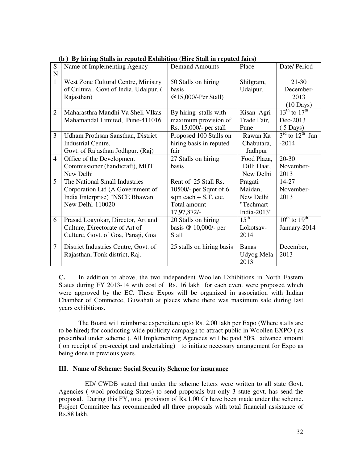| S              | Name of Implementing Agency            | <b>Demand Amounts</b>     | Place            | Date/Period                             |
|----------------|----------------------------------------|---------------------------|------------------|-----------------------------------------|
| $\mathbf N$    |                                        |                           |                  |                                         |
| $\mathbf{1}$   | West Zone Cultural Centre, Ministry    | 50 Stalls on hiring       | Shilgram,        | $21-30$                                 |
|                | of Cultural, Govt of India, Udaipur. ( | basis                     | Udaipur.         | December-                               |
|                | Rajasthan)                             | @15,000/-Per Stall)       |                  | 2013                                    |
|                |                                        |                           |                  | $(10 \text{ Days})$                     |
| $\overline{2}$ | Maharasthra Mandhi Va Sheli VIkas      | By hiring stalls with     | Kisan Agri       | $13^{\text{th}}$ to $17^{\text{th}}$    |
|                | Mahamandal Limited, Pune-411016        | maximum provision of      | Trade Fair,      | Dec-2013                                |
|                |                                        | Rs. 15,000/- per stall    | Pune             | $(5 \text{ Days})$                      |
| $\overline{3}$ | Udham Prothsan Sansthan, District      | Proposed 100 Stalls on    | Rawan Ka         | $3^{\text{rd}}$ to $12^{\text{th}}$ Jan |
|                | Industrial Centre,                     | hiring basis in reputed   | Chabutara,       | $-2014$                                 |
|                | Govt. of Rajasthan Jodhpur. (Raj)      | fair                      | Jadhpur          |                                         |
| $\overline{4}$ | Office of the Development              | 27 Stalls on hiring       | Food Plaza,      | $20 - 30$                               |
|                | Commissioner (handicraft), MOT         | basis                     | Dilli Haat,      | November-                               |
|                | New Delhi                              |                           | New Delhi        | 2013                                    |
| 5              | The National Small Industries          | Rent of 25 Stall Rs.      | Pragati          | 14-27                                   |
|                | Corporation Ltd (A Government of       | 10500/- per Sqmt of 6     | Maidan,          | November-                               |
|                | India Enterprise) "NSCE Bhawan"        | sqm each $+$ S.T. etc.    | New Delhi        | 2013                                    |
|                | New Delhi-110020                       | Total amount              | "Techmart        |                                         |
|                |                                        | 17,97,872/-               | India-2013"      |                                         |
| 6              | Prasad Loayokar, Director, Art and     | 20 Stalls on hiring       | $15^{\text{th}}$ | $10^{\text{th}}$ to $19^{\text{th}}$    |
|                | Culture, Directorate of Art of         | basis @ 10,000/- per      | Lokotsav-        | January-2014                            |
|                | Culture, Govt. of Goa, Panaji, Goa     | <b>Stall</b>              | 2014             |                                         |
| $\overline{7}$ | District Industries Centre, Govt. of   | 25 stalls on hiring basis | <b>Banas</b>     | December,                               |
|                | Rajasthan, Tonk district, Raj.         |                           | Udyog Mela       | 2013                                    |
|                |                                        |                           | 2013             |                                         |

**(b ) By hiring Stalls in reputed Exhibition (Hire Stall in reputed fairs)** 

**C.** In addition to above, the two independent Woollen Exhibitions in North Eastern States during FY 2013-14 with cost of Rs. 16 lakh for each event were proposed which were approved by the EC. These Expos will be organized in association with Indian Chamber of Commerce, Guwahati at places where there was maximum sale during last years exhibitions.

 The Board will reimburse expenditure upto Rs. 2.00 lakh per Expo (Where stalls are to be hired) for conducting wide publicity campaign to attract public in Woollen EXPO ( as prescribed under scheme ). All Implementing Agencies will be paid 50% advance amount ( on receipt of pre-receipt and undertaking) to initiate necessary arrangement for Expo as being done in previous years.

#### **III. Name of Scheme: Social Security Scheme for insurance**

 ED/ CWDB stated that under the scheme letters were written to all state Govt. Agencies ( wool producing States) to send proposals but only 3 state govt. has send the proposal. During this FY, total provision of Rs.1.00 Cr have been made under the scheme. Project Committee has recommended all three proposals with total financial assistance of Rs.88 lakh.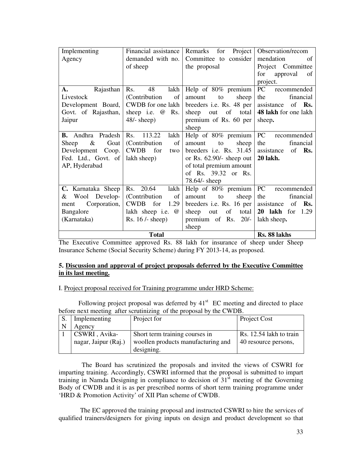| Implementing                                | Financial assistance  | Remarks for Project        | Observation/recom        |
|---------------------------------------------|-----------------------|----------------------------|--------------------------|
| Agency                                      | demanded with no.     | Committee to consider      | of<br>mendation          |
|                                             | of sheep              | the proposal               | Project Committee        |
|                                             |                       |                            | for<br>approval<br>of    |
|                                             |                       |                            | project.                 |
| Rajasthan $\vert$ Rs.<br>$\mathbf{A}$ .     | 48<br>lakh            | Help of 80% premium        | PC<br>recommended        |
| Livestock                                   | (Contribution of      | amount<br>sheep<br>to      | financial<br>the         |
| Development Board,                          | CWDB for one lakh     | breeders i.e. Rs. 48 per   | assistance of <b>Rs.</b> |
| Govt. of Rajasthan,                         | sheep i.e. $@$<br>Rs. | sheep out of total         | 48 lakh for one lakh     |
| Jaipur                                      | $48/-$ sheep)         | premium of Rs. 60 per      | sheep.                   |
|                                             |                       | sheep                      |                          |
| <b>B.</b> Andhra Pradesh $\vert$ Rs. 113.22 | lakh                  | Help of 80% premium        | PC recommended           |
| $\&$<br>Goat<br>Sheep                       | (Contribution)<br>of  | to<br>amount<br>sheep      | the<br>financial         |
| Development Coop.   CWDB for                | two                   | breeders i.e. Rs. $31.45$  | assistance<br>of Rs.     |
| Fed. Ltd., Govt. of   lakh sheep)           |                       | or Rs. $62.90/-$ sheep out | <b>20 lakh.</b>          |
| AP, Hyderabad                               |                       | of total premium amount    |                          |
|                                             |                       | of Rs. 39.32 or Rs.        |                          |
|                                             |                       | 78.64/- sheep              |                          |
| C. Karnataka Sheep                          | Rs. 20.64<br>lakh     | Help of 80% premium        | PC<br>recommended        |
| & Wool Develop- Contribution                | of                    | to<br>sheep<br>amount      | the<br>financial         |
| Corporation,<br>ment                        | CWDB for<br>1.29      | breeders i.e. Rs. 16 per   | assistance of Rs.        |
| Bangalore                                   | lakh sheep i.e. @     | sheep out of total         | <b>20 lakh</b> for 1.29  |
| (Karnataka)                                 | Rs. $16$ /- sheep)    | premium of Rs. $20/-$      | lakh sheep.              |
|                                             |                       | sheep                      |                          |
|                                             | <b>Total</b>          |                            | Rs. 88 lakhs             |

The Executive Committee approved Rs. 88 lakh for insurance of sheep under Sheep Insurance Scheme (Social Security Scheme) during FY 2013-14, as proposed.

#### **5. Discussion and approval of project proposals deferred by the Executive Committee in its last meeting.**

#### I. Project proposal received for Training programme under HRD Scheme:

Following project proposal was deferred by  $41<sup>st</sup>$  EC meeting and directed to place before next meeting after scrutinizing of the proposal by the CWDB.

| S. | Implementing         | Project for                        | Project Cost            |
|----|----------------------|------------------------------------|-------------------------|
| N  | Agency               |                                    |                         |
|    | CSWRI, Avika-        | Short term training courses in     | Rs. 12.54 lakh to train |
|    | nagar, Jaipur (Raj.) | woollen products manufacturing and | 40 resource persons,    |
|    |                      | designing.                         |                         |

 The Board has scrutinized the proposals and invited the views of CSWRI for imparting training. Accordingly, CSWRI informed that the proposal is submitted to impart training in Namda Designing in compliance to decision of  $31<sup>st</sup>$  meeting of the Governing Body of CWDB and it is as per prescribed norms of short term training programme under 'HRD & Promotion Activity' of XII Plan scheme of CWDB.

 The EC approved the training proposal and instructed CSWRI to hire the services of qualified trainers/designers for giving inputs on design and product development so that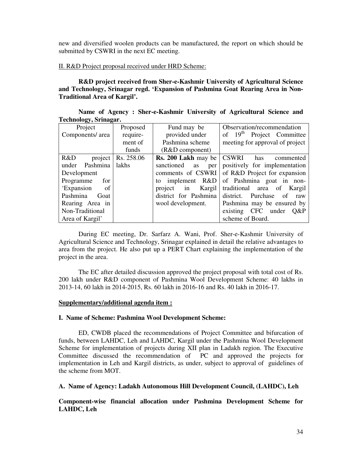new and diversified woolen products can be manufactured, the report on which should be submitted by CSWRI in the next EC meeting.

#### II. R&D Project proposal received under HRD Scheme:

**R&D project received from Sher-e-Kashmir University of Agricultural Science and Technology, Srinagar regd. 'Expansion of Pashmina Goat Rearing Area in Non-Traditional Area of Kargil'.** 

| Name of Agency: Sher-e-Kashmir University of Agricultural Science and |  |  |  |
|-----------------------------------------------------------------------|--|--|--|
| Technology, Srinagar.                                                 |  |  |  |

| Project                  | Proposed | Fund may be             | Observation/recommendation                       |
|--------------------------|----------|-------------------------|--------------------------------------------------|
| Components/ area         | require- | provided under          | of 19 <sup>th</sup> Project Committee            |
|                          | ment of  | Pashmina scheme         | meeting for approval of project                  |
|                          | funds    | $(R&D$ component)       |                                                  |
| $R&D$ project Rs. 258.06 |          |                         | <b>Rs. 200 Lakh</b> may be   CSWRI has commented |
| under Pashmina   lakhs   |          | sanctioned<br>as<br>per | positively for implementation                    |
| Development              |          |                         | comments of CSWRI of R&D Project for expansion   |
| Programme<br>for         |          | to implement $R&D$      | of Pashmina goat in non-                         |
| 'Expansion<br>$\circ$ of |          |                         | project in Kargil traditional area of Kargil     |
| Pashmina<br>Goat         |          | district for Pashmina   | district. Purchase of raw                        |
| Rearing Area in          |          | wool development.       | Pashmina may be ensured by                       |
| Non-Traditional          |          |                         | existing CFC under Q&P                           |
| Area of Kargil'          |          |                         | scheme of Board.                                 |

During EC meeting, Dr. Sarfarz A. Wani, Prof. Sher-e-Kashmir University of Agricultural Science and Technology, Srinagar explained in detail the relative advantages to area from the project. He also put up a PERT Chart explaining the implementation of the project in the area.

The EC after detailed discussion approved the project proposal with total cost of Rs. 200 lakh under R&D component of Pashmina Wool Development Scheme: 40 lakhs in 2013-14, 60 lakh in 2014-2015, Rs. 60 lakh in 2016-16 and Rs. 40 lakh in 2016-17.

#### **Supplementary/additional agenda item :**

#### **I. Name of Scheme: Pashmina Wool Development Scheme:**

ED, CWDB placed the recommendations of Project Committee and bifurcation of funds, between LAHDC, Leh and LAHDC, Kargil under the Pashmina Wool Development Scheme for implementation of projects during XII plan in Ladakh region. The Executive Committee discussed the recommendation of PC and approved the projects for implementation in Leh and Kargil districts, as under, subject to approval of guidelines of the scheme from MOT.

**A. Name of Agency: Ladakh Autonomous Hill Development Council, (LAHDC), Leh** 

**Component-wise financial allocation under Pashmina Development Scheme for LAHDC, Leh**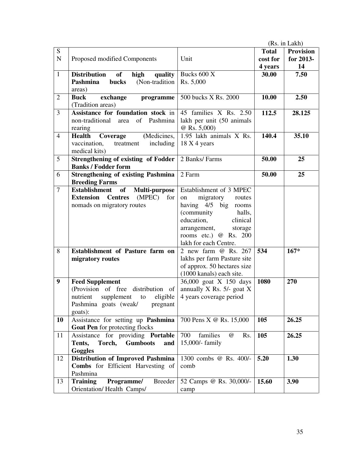|                |                                                                                                                                                          |                                                                                                                                                                                                             |                                     | (Rs. in Lakh)                       |
|----------------|----------------------------------------------------------------------------------------------------------------------------------------------------------|-------------------------------------------------------------------------------------------------------------------------------------------------------------------------------------------------------------|-------------------------------------|-------------------------------------|
| S<br>${\bf N}$ | Proposed modified Components                                                                                                                             | Unit                                                                                                                                                                                                        | <b>Total</b><br>cost for<br>4 years | <b>Provision</b><br>for 2013-<br>14 |
| $\mathbf{1}$   | <b>Distribution</b><br>of<br>high<br>quality<br>(Non-tradition<br>Pashmina<br>bucks<br>areas)                                                            | Bucks 600 X<br>Rs. 5,000                                                                                                                                                                                    | 30.00                               | 7.50                                |
| $\overline{2}$ | <b>Buck</b><br>exchange<br>programme<br>(Tradition areas)                                                                                                | 500 bucks X Rs. 2000                                                                                                                                                                                        | 10.00                               | 2.50                                |
| 3              | Assistance for foundation stock in<br>non-traditional area of Pashmina<br>rearing                                                                        | 45 families X Rs. 2.50<br>lakh per unit (50 animals<br>@ Rs. 5,000)                                                                                                                                         | 112.5                               | 28.125                              |
| $\overline{4}$ | <b>Health</b><br>Coverage<br>(Medicines,<br>vaccination,<br>including<br>treatment<br>medical kits)                                                      | 1.95 lakh animals X Rs.<br>18 X 4 years                                                                                                                                                                     | 140.4                               | 35.10                               |
| 5              | <b>Strengthening of existing of Fodder</b><br><b>Banks / Fodder form</b>                                                                                 | 2 Banks/ Farms                                                                                                                                                                                              | 50.00                               | 25                                  |
| 6              | <b>Strengthening of existing Pashmina</b><br><b>Breeding Farms</b>                                                                                       | 2 Farm                                                                                                                                                                                                      | 50.00                               | 25                                  |
| $\overline{7}$ | of<br><b>Establishment</b><br>Multi-purpose<br><b>Extension</b> Centres<br>$(MPEC)$ for<br>nomads on migratory routes                                    | Establishment of 3 MPEC<br>migratory<br>on<br>routes<br>having 4/5 big rooms<br>(community<br>halls,<br>education,<br>clinical<br>arrangement,<br>storage<br>rooms etc.) @ Rs. 200<br>lakh for each Centre. |                                     |                                     |
| 8              | Establishment of Pasture farm on<br>migratory routes                                                                                                     | 2 new farm @ Rs. 267<br>lakhs per farm Pasture site<br>of approx. 50 hectares size<br>(1000 kanals) each site.                                                                                              | 534                                 | $167*$                              |
| 9              | <b>Feed Supplement</b><br>(Provision of free distribution of<br>eligible<br>nutrient<br>supplement<br>to<br>Pashmina goats (weak/<br>pregnant<br>goats): | 36,000 goat X 150 days<br>annually X Rs. 5/- goat X<br>4 years coverage period                                                                                                                              | 1080                                | 270                                 |
| 10             | Assistance for setting up Pashmina<br>Goat Pen for protecting flocks                                                                                     | 700 Pens X @ Rs. 15,000                                                                                                                                                                                     | 105                                 | 26.25                               |
| 11             | Assistance for providing Portable<br>Tents,<br>Torch,<br><b>Gumboots</b><br>and<br>Goggles                                                               | families<br>700<br>$\omega$<br>Rs.<br>15,000/- family                                                                                                                                                       | 105                                 | 26.25                               |
| 12             | <b>Distribution of Improved Pashmina</b><br>Combs for Efficient Harvesting of<br>Pashmina                                                                | 1300 combs @ Rs. 400/-<br>comb                                                                                                                                                                              | 5.20                                | 1.30                                |
| 13             | <b>Training</b><br><b>Breeder</b><br>Programme/<br>Orientation/Health Camps/                                                                             | 52 Camps @ Rs. 30,000/-<br>camp                                                                                                                                                                             | 15.60                               | 3.90                                |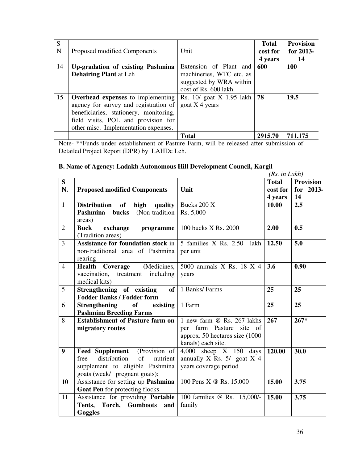| S<br>N | Proposed modified Components                                                                                                                                                                               | Unit                                                                                                   | <b>Total</b><br>cost for<br>4 years | <b>Provision</b><br>for 2013-<br>14 |
|--------|------------------------------------------------------------------------------------------------------------------------------------------------------------------------------------------------------------|--------------------------------------------------------------------------------------------------------|-------------------------------------|-------------------------------------|
| 14     | Up-gradation of existing Pashmina<br><b>Dehairing Plant at Leh</b>                                                                                                                                         | Extension of Plant and<br>machineries, WTC etc. as<br>suggested by WRA within<br>cost of Rs. 600 lakh. | 600                                 | <b>100</b>                          |
| 15     | <b>Overhead expenses</b> to implementing<br>agency for survey and registration of<br>beneficiaries, stationery, monitoring,<br>field visits, POL and provision for<br>other misc. Implementation expenses. | Rs. 10/ goat X 1.95 lakh<br>goat $X$ 4 years                                                           | 78                                  | 19.5                                |
|        |                                                                                                                                                                                                            | <b>Total</b>                                                                                           | 2915.70                             | 711.175                             |

Note- \*\*Funds under establishment of Pasture Farm, will be released after submission of Detailed Project Report (DPR) by LAHDc Leh.

### **B. Name of Agency: Ladakh Autonomous Hill Development Council, Kargil**

|                |                                          |                                 | (Rs. in Lakh) |                  |
|----------------|------------------------------------------|---------------------------------|---------------|------------------|
| S              |                                          |                                 | <b>Total</b>  | <b>Provision</b> |
| N.             | <b>Proposed modified Components</b>      | Unit                            | cost for      | for 2013-        |
|                |                                          |                                 | 4 years       | 14               |
| $\mathbf{1}$   | Distribution of<br>high<br>quality       | Bucks 200 X                     | 10.00         | 2.5              |
|                | <b>bucks</b> (Non-tradition<br>Pashmina  | Rs. 5,000                       |               |                  |
|                | areas)                                   |                                 |               |                  |
| $\overline{2}$ | <b>Buck</b><br>exchange<br>programme     | 100 bucks X Rs. 2000            | 2.00          | 0.5              |
|                | (Tradition areas)                        |                                 |               |                  |
| $\overline{3}$ | Assistance for foundation stock in       | 5 families X Rs. 2.50 lakh      | 12.50         | 5.0              |
|                | non-traditional area of Pashmina         | per unit                        |               |                  |
|                | rearing                                  |                                 |               |                  |
| $\overline{4}$ | (Medicines,<br><b>Health</b><br>Coverage | 5000 animals X Rs. 18 X 4       | 3.6           | 0.90             |
|                | vaccination,<br>treatment including      | years                           |               |                  |
|                | medical kits)                            |                                 |               |                  |
| $\overline{5}$ | Strengthening of existing<br>of          | 1 Banks/ Farms                  | 25            | 25               |
|                | <b>Fodder Banks / Fodder form</b>        |                                 |               |                  |
| 6              | <b>Strengthening</b><br>of<br>existing   | 1 Farm                          | 25            | 25               |
|                | <b>Pashmina Breeding Farms</b>           |                                 |               |                  |
| 8              | <b>Establishment of Pasture farm on</b>  | 1 new farm @ Rs. 267 lakhs      | 267           | $267*$           |
|                | migratory routes                         | per farm Pasture site of        |               |                  |
|                |                                          | approx. 50 hectares size (1000) |               |                  |
|                |                                          | kanals) each site.              |               |                  |
| 9              | <b>Feed Supplement</b><br>(Provision of  | 4,000 sheep $X$ 150 days        | 120.00        | 30.0             |
|                | distribution<br>of<br>free<br>nutrient   | annually X Rs. $5/-$ goat X 4   |               |                  |
|                | supplement to eligible Pashmina          | years coverage period           |               |                  |
|                | goats (weak/ pregnant goats):            |                                 |               |                  |
| 10             | Assistance for setting up Pashmina       | 100 Pens X @ Rs. 15,000         | 15.00         | 3.75             |
|                | Goat Pen for protecting flocks           |                                 |               |                  |
| 11             | Assistance for providing Portable        | 100 families @ Rs. 15,000/-     | 15.00         | 3.75             |
|                | Tents, Torch, Gumboots and               | family                          |               |                  |
|                | Goggles                                  |                                 |               |                  |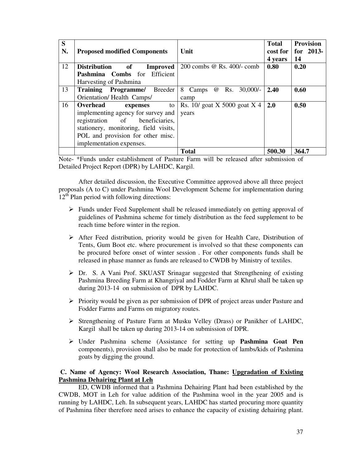| S<br>N. | <b>Proposed modified Components</b>                 | Unit                           | <b>Total</b><br>cost for 1<br>4 years | <b>Provision</b><br>for 2013-<br>14 |
|---------|-----------------------------------------------------|--------------------------------|---------------------------------------|-------------------------------------|
| 12      | <b>Distribution</b><br>$\bf{of}$<br><b>Improved</b> | 200 combs @ Rs. 400/- comb     | 0.80                                  | 0.20                                |
|         | Pashmina Combs for Efficient                        |                                |                                       |                                     |
|         | Harvesting of Pashmina                              |                                |                                       |                                     |
| 13      | Training Programme/ Breeder                         | @ Rs.<br>30,000/<br>8 Camps    | 2.40                                  | 0.60                                |
|         | Orientation/Health Camps/                           | camp                           |                                       |                                     |
| 16      | Overhead<br>to<br>expenses                          | Rs. $10/$ goat X 5000 goat X 4 | 2.0                                   | 0.50                                |
|         | implementing agency for survey and                  | years                          |                                       |                                     |
|         | registration of beneficiaries,                      |                                |                                       |                                     |
|         | stationery, monitoring, field visits,               |                                |                                       |                                     |
|         | POL and provision for other misc.                   |                                |                                       |                                     |
|         | implementation expenses.                            |                                |                                       |                                     |
|         |                                                     | <b>Total</b>                   | 500.30                                | 364.7                               |

Note- \*Funds under establishment of Pasture Farm will be released after submission of Detailed Project Report (DPR) by LAHDC, Kargil.

After detailed discussion, the Executive Committee approved above all three project proposals (A to C) under Pashmina Wool Development Scheme for implementation during  $12<sup>th</sup>$  Plan period with following directions:

- Funds under Feed Supplement shall be released immediately on getting approval of guidelines of Pashmina scheme for timely distribution as the feed supplement to be reach time before winter in the region.
- $\triangleright$  After Feed distribution, priority would be given for Health Care, Distribution of Tents, Gum Boot etc. where procurement is involved so that these components can be procured before onset of winter session . For other components funds shall be released in phase manner as funds are released to CWDB by Ministry of textiles.
- Dr. S. A Vani Prof. SKUAST Srinagar suggested that Strengthening of existing Pashmina Breeding Farm at Khangriyal and Fodder Farm at Khrul shall be taken up during 2013-14 on submission of DPR by LAHDC.
- $\triangleright$  Priority would be given as per submission of DPR of project areas under Pasture and Fodder Farms and Farms on migratory routes.
- Strengthening of Pasture Farm at Musku Velley (Drass) or Panikher of LAHDC, Kargil shall be taken up during 2013-14 on submission of DPR.
- Under Pashmina scheme (Assistance for setting up **Pashmina Goat Pen** components), provision shall also be made for protection of lambs/kids of Pashmina goats by digging the ground.

#### **C. Name of Agency: Wool Research Association, Thane: Upgradation of Existing Pashmina Dehairing Plant at Leh**

ED, CWDB informed that a Pashmina Dehairing Plant had been established by the CWDB, MOT in Leh for value addition of the Pashmina wool in the year 2005 and is running by LAHDC, Leh. In subsequent years, LAHDC has started procuring more quantity of Pashmina fiber therefore need arises to enhance the capacity of existing dehairing plant.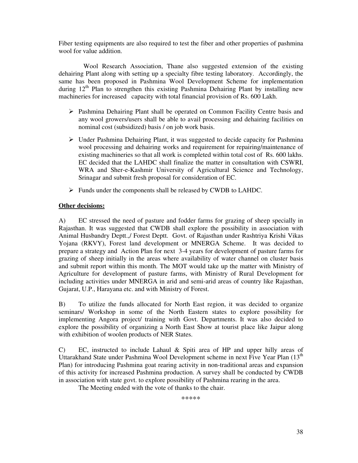Fiber testing equipments are also required to test the fiber and other properties of pashmina wool for value addition.

 Wool Research Association, Thane also suggested extension of the existing dehairing Plant along with setting up a specialty fibre testing laboratory. Accordingly, the same has been proposed in Pashmina Wool Development Scheme for implementation during  $12<sup>th</sup>$  Plan to strengthen this existing Pashmina Dehairing Plant by installing new machineries for increased capacity with total financial provision of Rs. 600 Lakh.

- Pashmina Dehairing Plant shall be operated on Common Facility Centre basis and any wool growers/users shall be able to avail processing and dehairing facilities on nominal cost (subsidized) basis / on job work basis.
- $\triangleright$  Under Pashmina Dehairing Plant, it was suggested to decide capacity for Pashmina wool processing and dehairing works and requirement for repairing/maintenance of existing machineries so that all work is completed within total cost of Rs. 600 lakhs. EC decided that the LAHDC shall finalize the matter in consultation with CSWRI, WRA and Sher-e-Kashmir University of Agricultural Science and Technology, Srinagar and submit fresh proposal for consideration of EC.
- Funds under the components shall be released by CWDB to LAHDC.

#### **Other decisions:**

A) EC stressed the need of pasture and fodder farms for grazing of sheep specially in Rajasthan. It was suggested that CWDB shall explore the possibility in association with Animal Husbandry Deptt.,/ Forest Deptt. Govt. of Rajasthan under Rashtriya Krishi Vikas Yojana (RKVY), Forest land development or MNERGA Scheme. It was decided to prepare a strategy and Action Plan for next 3-4 years for development of pasture farms for grazing of sheep initially in the areas where availability of water channel on cluster basis and submit report within this month. The MOT would take up the matter with Ministry of Agriculture for development of pasture farms, with Ministry of Rural Development for including activities under MNERGA in arid and semi-arid areas of country like Rajasthan, Gujarat, U.P., Harayana etc. and with Ministry of Forest.

B) To utilize the funds allocated for North East region, it was decided to organize seminars/ Workshop in some of the North Eastern states to explore possibility for implementing Angora project/ training with Govt. Departments. It was also decided to explore the possibility of organizing a North East Show at tourist place like Jaipur along with exhibition of woolen products of NER States.

C) EC, instructed to include Lahaul & Spiti area of HP and upper hilly areas of Uttarakhand State under Pashmina Wool Development scheme in next Five Year Plan (13<sup>th</sup>) Plan) for introducing Pashmina goat rearing activity in non-traditional areas and expansion of this activity for increased Pashmina production. A survey shall be conducted by CWDB in association with state govt. to explore possibility of Pashmina rearing in the area.

The Meeting ended with the vote of thanks to the chair.

\*\*\*\*\*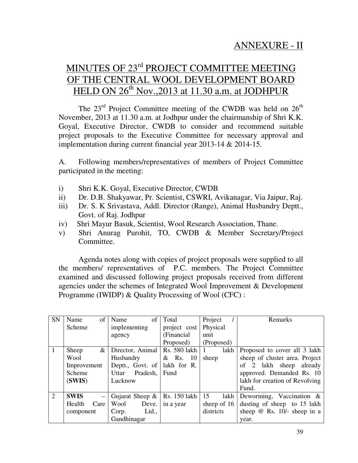# MINUTES OF 23<sup>rd</sup> PROJECT COMMITTEE MEETING OF THE CENTRAL WOOL DEVELOPMENT BOARD HELD ON 26<sup>th</sup> Nov., 2013 at 11.30 a.m. at JODHPUR

The  $23<sup>rd</sup>$  Project Committee meeting of the CWDB was held on  $26<sup>th</sup>$ November, 2013 at 11.30 a.m. at Jodhpur under the chairmanship of Shri K.K. Goyal, Executive Director, CWDB to consider and recommend suitable project proposals to the Executive Committee for necessary approval and implementation during current financial year 2013-14 & 2014-15.

A. Following members/representatives of members of Project Committee participated in the meeting:

- i) Shri K.K. Goyal, Executive Director, CWDB
- ii) Dr. D.B. Shakyawar, Pr. Scientist, CSWRI, Avikanagar, Via Jaipur, Raj.
- iii) Dr. S. K Srivastava, Addl. Director (Range), Animal Husbandry Deptt., Govt. of Raj. Jodhpur
- iv) Shri Mayur Basuk, Scientist, Wool Research Association, Thane.
- v) Shri Anurag Purohit, TO, CWDB & Member Secretary/Project Committee.

 Agenda notes along with copies of project proposals were supplied to all the members/ representatives of P.C. members. The Project Committee examined and discussed following project proposals received from different agencies under the schemes of Integrated Wool Improvement & Development Programme (IWIDP) & Quality Processing of Wool (CFC) :

| SN             | Name        | of       | Name         | of                 | Total          | Project     | Remarks                            |
|----------------|-------------|----------|--------------|--------------------|----------------|-------------|------------------------------------|
|                | Scheme      |          | implementing |                    | project cost   | Physical    |                                    |
|                |             |          | agency       |                    | (Financial     | unit        |                                    |
|                |             |          |              |                    | Proposed)      | (Proposed)  |                                    |
|                | Sheep       | &        |              | Director, Animal   | Rs. 580 lakh   | lakh        | Proposed to cover all 3 lakh       |
|                | Wool        |          | Husbandry    |                    | $&$ Rs.<br>-10 | sheep       | sheep of cluster area. Project     |
|                | Improvement |          |              | Deptt., Govt. of   | lakh for R.    |             | of 2 lakh sheep<br>already         |
|                | Scheme      |          | Uttar        | Pradesh,           | Fund           |             | approved. Demanded Rs. 10          |
|                | (SWIS)      |          | Lucknow      |                    |                |             | lakh for creation of Revolving     |
|                |             |          |              |                    |                |             | Fund.                              |
| $\overline{2}$ | <b>SWIS</b> | $\equiv$ |              | Gujarat Sheep $\&$ | Rs. 150 lakh   | 15<br>lakh  | Deworming, Vaccination $\&$        |
|                | Health      | Care     | Wool         | Deve.              | in a year      | sheep of 16 | dusting of sheep to 15 lakh        |
|                | component   |          | Corp.        | Ltd.,              |                | districts   | sheep $\omega$ Rs. 10/- sheep in a |
|                |             |          | Gandhinagar  |                    |                |             | year.                              |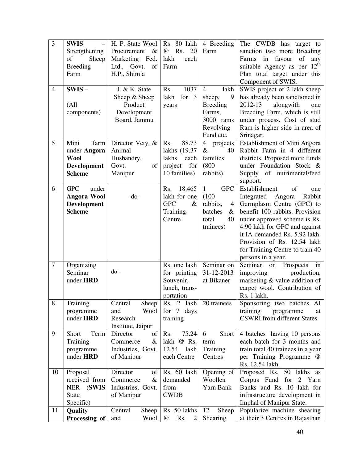| 3              | <b>SWIS</b>            | H. P. State Wool                    | Rs. 80 lakh                   | 4 Breeding                 | The CWDB has target to                  |
|----------------|------------------------|-------------------------------------|-------------------------------|----------------------------|-----------------------------------------|
|                | Strengthening          | Procurement &                       | Rs.<br>20<br>@                | Farm                       | sanction two more Breeding              |
|                | of<br>Sheep            | Marketing Fed.                      | lakh<br>each                  |                            | Farms in favour<br>of<br>any            |
|                | <b>Breeding</b>        | of<br>Ltd., Govt.                   | Farm                          |                            | suitable Agency as per 12 <sup>th</sup> |
|                | Farm                   | H.P., Shimla                        |                               |                            | Plan total target under this            |
|                |                        |                                     |                               |                            | Component of SWIS.                      |
| $\overline{4}$ | $SWIS -$               | J. & K. State                       | Rs.<br>1037                   | lakh<br>4                  | SWIS project of 2 lakh sheep            |
|                |                        | Sheep & Sheep                       | lakh<br>for<br>$\overline{3}$ | 9<br>sheep,                | has already been sanctioned in          |
|                | (All)                  | Product                             | years                         | <b>Breeding</b>            | 2012-13<br>alongwith<br>one             |
|                | components)            | Development                         |                               | Farms,                     | Breeding Farm, which is still           |
|                |                        | Board, Jammu                        |                               | 3000 rams                  | under process. Cost of stud             |
|                |                        |                                     |                               | Revolving                  | Ram is higher side in area of           |
|                |                        |                                     |                               | Fund etc.                  | Srinagar.                               |
| 5              | Mini<br>farm           | Director Vety. &                    | 88.73<br>Rs.                  | $\overline{4}$<br>projects | Establishment of Mini Angora            |
|                | under Angora           | Animal                              | lakhs (19.37                  | $\&$<br>40                 | Rabbit Farm in 4 different              |
|                | <b>Wool</b>            | Husbandry,                          | lakhs<br>each                 | families                   | districts. Proposed more funds          |
|                | <b>Development</b>     | of<br>Govt.                         | project<br>for                | (800)                      | under Foundation Stock &                |
|                | <b>Scheme</b>          | Manipur                             | 10 families)                  | rabbits)                   | Supply<br>of nutrimental/feed           |
|                |                        |                                     |                               |                            | support.                                |
| 6              | <b>GPC</b><br>under    |                                     | 18.465<br>Rs.                 | $\mathbf{1}$<br><b>GPC</b> | Establishment<br>of<br>one              |
|                | <b>Angora Wool</b>     | $-do-$                              | lakh for one                  | (100)                      | Rabbit<br>Integrated<br>Angora          |
|                | <b>Development</b>     |                                     | <b>GPC</b><br>$\&$            | rabbits,<br>$\overline{4}$ | Germplasm Centre (GPC) to               |
|                | <b>Scheme</b>          |                                     | Training                      | batches<br>$\&$            | benefit 100 rabbits. Provision          |
|                |                        |                                     | Centre                        | total<br>40                | under approved scheme is Rs.            |
|                |                        |                                     |                               | trainees)                  | 4.90 lakh for GPC and against           |
|                |                        |                                     |                               |                            | it IA demanded Rs. 5.92 lakh.           |
|                |                        |                                     |                               |                            | Provision of Rs. 12.54 lakh             |
|                |                        |                                     |                               |                            | for Training Centre to train 40         |
|                |                        |                                     |                               |                            | persons in a year.                      |
| $\overline{7}$ | Organizing             |                                     | Rs. one lakh                  | Seminar on                 | Seminar<br>Prospects<br>on<br>in        |
|                | Seminar                | do-                                 | for printing                  | 31-12-2013                 | improving<br>production,                |
|                | under HRD              |                                     | Souvenir,                     | at Bikaner                 | marketing & value addition of           |
|                |                        |                                     | lunch, trans-                 |                            | carpet wool. Contribution of            |
|                |                        |                                     | portation                     |                            | Rs. 1 lakh.                             |
| 8              | Training               | Central<br>Sheep                    | Rs. 2 lakh                    | 20 trainees                | Sponsoring two batches AI               |
|                | programme              | Wool<br>and                         | $\overline{7}$<br>for<br>days |                            | training<br>programme<br>at             |
|                | under HRD              | Research                            | training                      |                            | CSWRI from different States.            |
| 9              | Term                   | Institute, Jaipur<br>Director<br>of | Rs.<br>75.24                  | 6                          | 4 batches having 10 persons             |
|                | Short                  | $\&$<br>Commerce                    | lakh<br>@ Rs.                 | Short                      | each batch for 3 months and             |
|                | Training               |                                     | 12.54 lakh                    | term<br>Training           | train total 40 trainees in a year       |
|                | programme<br>under HRD | Industries, Govt.<br>of Manipur     | each Centre                   | Centres                    | per Training Programme @                |
|                |                        |                                     |                               |                            | Rs. 12.54 lakh.                         |
| 10             | Proposal               | Director<br>of                      | Rs. 60 lakh                   | Opening of                 | Proposed Rs. 50 lakhs<br>as             |
|                | received from          | Commerce<br>$\&$                    | demanded                      | Woollen                    | Corpus Fund for 2 Yarn                  |
|                | <b>NER</b><br>(SWIS    | Industries, Govt.                   | from                          | Yarn Bank                  | Banks and Rs. 10 lakh for               |
|                | <b>State</b>           | of Manipur                          | <b>CWDB</b>                   |                            | infrastructure development in           |
|                | Specific)              |                                     |                               |                            | Imphal of Manipur State.                |
| 11             | <b>Quality</b>         | Central<br>Sheep                    | Rs. 50 lakhs                  | 12<br>Sheep                | Popularize machine shearing             |
|                | Processing of          | and<br>Wool                         | @<br>Rs.<br>2                 | <b>Shearing</b>            | at their 3 Centres in Rajasthan         |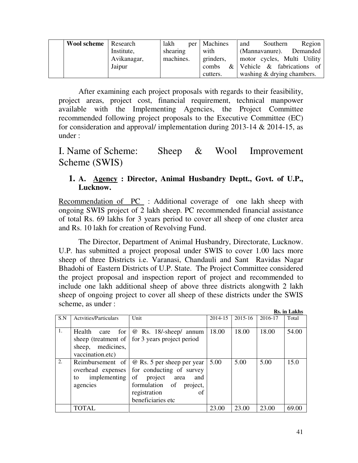| <b>Wool scheme</b> Research |             | lakh      | per   Machines | Southern<br>Region<br>and         |
|-----------------------------|-------------|-----------|----------------|-----------------------------------|
|                             | Institute,  | shearing  | with           | <b>Demanded</b><br>(Mannavanure). |
|                             | Avikanagar, | machines. | grinders,      | motor cycles, Multi Utility       |
|                             | Jaipur      |           | combs          | $\&$ Vehicle $\&$ fabrications of |
|                             |             |           | cutters.       | washing & drying chambers.        |

 After examining each project proposals with regards to their feasibility, project areas, project cost, financial requirement, technical manpower available with the Implementing Agencies, the Project Committee recommended following project proposals to the Executive Committee (EC) for consideration and approval/ implementation during 2013-14 & 2014-15, as under :

# I. Name of Scheme: Sheep & Wool Improvement Scheme (SWIS)

# **1. A. Agency : Director, Animal Husbandry Deptt., Govt. of U.P., Lucknow.**

Recommendation of PC : Additional coverage of one lakh sheep with ongoing SWIS project of 2 lakh sheep. PC recommended financial assistance of total Rs. 69 lakhs for 3 years period to cover all sheep of one cluster area and Rs. 10 lakh for creation of Revolving Fund.

 The Director, Department of Animal Husbandry, Directorate, Lucknow. U.P. has submitted a project proposal under SWIS to cover 1.00 lacs more sheep of three Districts i.e. Varanasi, Chandauli and Sant Ravidas Nagar Bhadohi of Eastern Districts of U.P. State. The Project Committee considered the project proposal and inspection report of project and recommended to include one lakh additional sheep of above three districts alongwith 2 lakh sheep of ongoing project to cover all sheep of these districts under the SWIS scheme, as under :

|     |                              |                            |             |             |         | <b>Rs.</b> in Lakhs |
|-----|------------------------------|----------------------------|-------------|-------------|---------|---------------------|
| S.N | <b>Actyities/Particulars</b> | Unit                       | $2014 - 15$ | $2015 - 16$ | 2016-17 | Total               |
|     |                              |                            |             |             |         |                     |
| 1.  | Health<br>for 1<br>care      | @ Rs. 18/-sheep/ annum     | 18.00       | 18.00       | 18.00   | 54.00               |
|     | sheep (treatment of          | for 3 years project period |             |             |         |                     |
|     | sheep, medicines,            |                            |             |             |         |                     |
|     | vaccination.etc)             |                            |             |             |         |                     |
| 2.  | Reimbursement of             | @ Rs. 5 per sheep per year | 5.00        | 5.00        | 5.00    | 15.0                |
|     | overhead expenses            | for conducting of survey   |             |             |         |                     |
|     | implementing<br>to           | of project area<br>and     |             |             |         |                     |
|     | agencies                     | formulation of<br>project, |             |             |         |                     |
|     |                              | registration<br>of         |             |             |         |                     |
|     |                              | beneficiaries etc          |             |             |         |                     |
|     | <b>TOTAL</b>                 |                            | 23.00       | 23.00       | 23.00   | 69.00               |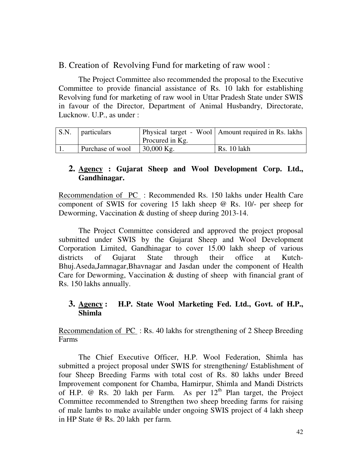B. Creation of Revolving Fund for marketing of raw wool :

The Project Committee also recommended the proposal to the Executive Committee to provide financial assistance of Rs. 10 lakh for establishing Revolving fund for marketing of raw wool in Uttar Pradesh State under SWIS in favour of the Director, Department of Animal Husbandry, Directorate, Lucknow. U.P., as under :

| S.N. | <i>n</i> particulars |                 | Physical target - Wool   Amount required in Rs. lakhs |
|------|----------------------|-----------------|-------------------------------------------------------|
|      |                      | Procured in Kg. |                                                       |
|      | Purchase of wool     | $30,000$ Kg.    | <b>Rs.</b> 10 lakh                                    |

# **2. Agency : Gujarat Sheep and Wool Development Corp. Ltd., Gandhinagar.**

Recommendation of PC : Recommended Rs. 150 lakhs under Health Care component of SWIS for covering 15 lakh sheep @ Rs. 10/- per sheep for Deworming, Vaccination & dusting of sheep during 2013-14.

 The Project Committee considered and approved the project proposal submitted under SWIS by the Gujarat Sheep and Wool Development Corporation Limited, Gandhinagar to cover 15.00 lakh sheep of various districts of Gujarat State through their office at Kutch-Bhuj.Aseda,Jamnagar,Bhavnagar and Jasdan under the component of Health Care for Deworming, Vaccination & dusting of sheep with financial grant of Rs. 150 lakhs annually.

## **3. Agency : H.P. State Wool Marketing Fed. Ltd., Govt. of H.P., Shimla**

Recommendation of PC : Rs. 40 lakhs for strengthening of 2 Sheep Breeding Farms

 The Chief Executive Officer, H.P. Wool Federation, Shimla has submitted a project proposal under SWIS for strengthening/ Establishment of four Sheep Breeding Farms with total cost of Rs. 80 lakhs under Breed Improvement component for Chamba, Hamirpur, Shimla and Mandi Districts of H.P.  $\omega$  Rs. 20 lakh per Farm. As per  $12<sup>th</sup>$  Plan target, the Project Committee recommended to Strengthen two sheep breeding farms for raising of male lambs to make available under ongoing SWIS project of 4 lakh sheep in HP State @ Rs. 20 lakh per farm.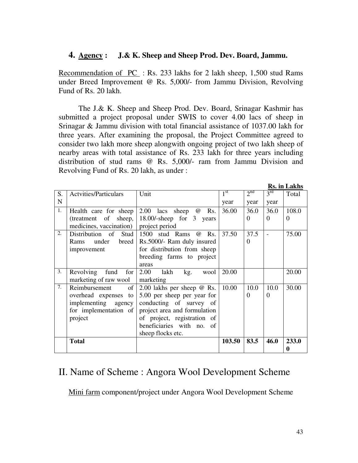## **4. Agency : J.& K. Sheep and Sheep Prod. Dev. Board, Jammu.**

Recommendation of PC : Rs. 233 lakhs for 2 lakh sheep, 1,500 stud Rams under Breed Improvement @ Rs. 5,000/- from Jammu Division, Revolving Fund of Rs. 20 lakh.

 The J.& K. Sheep and Sheep Prod. Dev. Board, Srinagar Kashmir has submitted a project proposal under SWIS to cover 4.00 lacs of sheep in Srinagar & Jammu division with total financial assistance of 1037.00 lakh for three years. After examining the proposal, the Project Committee agreed to consider two lakh more sheep alongwith ongoing project of two lakh sheep of nearby areas with total assistance of Rs. 233 lakh for three years including distribution of stud rams @ Rs. 5,000/- ram from Jammu Division and Revolving Fund of Rs. 20 lakh, as under :

|    |                              |                                             |              |                 |                 | KS. In Lakns |
|----|------------------------------|---------------------------------------------|--------------|-----------------|-----------------|--------------|
| S. | <b>Actvities/Particulars</b> | Unit                                        | $1^{\rm st}$ | 2 <sup>nd</sup> | $3^{\text{rd}}$ | Total        |
| N  |                              |                                             | year         | year            | year            |              |
| 1. | Health care for sheep        | 2.00 lacs sheep<br>Rs.<br>$^{\, \circledR}$ | 36.00        | 36.0            | 36.0            | 108.0        |
|    | (treatment of sheep,         | 18.00/-sheep for 3 years                    |              | $\Omega$        | $\Omega$        | $\Omega$     |
|    | medicines, vaccination)      | project period                              |              |                 |                 |              |
| 2. | Distribution of Stud         | Rs.<br>1500 stud Rams @                     | 37.50        | 37.5            |                 | 75.00        |
|    | under<br>breed<br>Rams       | Rs.5000/- Ram duly insured                  |              | $\Omega$        |                 |              |
|    | improvement                  | for distribution from sheep                 |              |                 |                 |              |
|    |                              | breeding farms to project                   |              |                 |                 |              |
|    |                              | areas                                       |              |                 |                 |              |
| 3. | Revolving<br>fund<br>for     | 2.00<br>lakh<br>kg.<br>wool                 | 20.00        |                 |                 | 20.00        |
|    | marketing of raw wool        | marketing                                   |              |                 |                 |              |
| 7. | Reimbursement<br>of          | 2.00 lakhs per sheep $\omega$ Rs.           | 10.00        | 10.0            | 10.0            | 30.00        |
|    | overhead expenses<br>to      | 5.00 per sheep per year for                 |              | $\Omega$        | $\Omega$        |              |
|    | implementing agency          | conducting of survey of                     |              |                 |                 |              |
|    | for implementation of        | project area and formulation                |              |                 |                 |              |
|    | project                      | of project, registration of                 |              |                 |                 |              |
|    |                              | beneficiaries with no. of                   |              |                 |                 |              |
|    |                              | sheep flocks etc.                           |              |                 |                 |              |
|    | <b>Total</b>                 |                                             | 103.50       | 83.5            | 46.0            | 233.0        |
|    |                              |                                             |              |                 |                 | 0            |

# II. Name of Scheme : Angora Wool Development Scheme

Mini farm component/project under Angora Wool Development Scheme

**R R R R R R**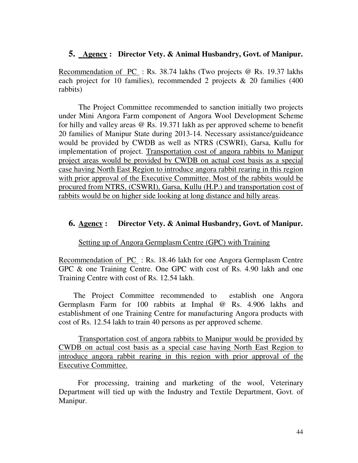## **5. Agency : Director Vety. & Animal Husbandry, Govt. of Manipur.**

Recommendation of PC : Rs. 38.74 lakhs (Two projects @ Rs. 19.37 lakhs each project for 10 families), recommended 2 projects & 20 families (400 rabbits)

 The Project Committee recommended to sanction initially two projects under Mini Angora Farm component of Angora Wool Development Scheme for hilly and valley areas @ Rs. 19.371 lakh as per approved scheme to benefit 20 families of Manipur State during 2013-14. Necessary assistance/guideance would be provided by CWDB as well as NTRS (CSWRI), Garsa, Kullu for implementation of project. Transportation cost of angora rabbits to Manipur project areas would be provided by CWDB on actual cost basis as a special case having North East Region to introduce angora rabbit rearing in this region with prior approval of the Executive Committee. Most of the rabbits would be procured from NTRS, (CSWRI), Garsa, Kullu (H.P.) and transportation cost of rabbits would be on higher side looking at long distance and hilly areas.

### **6. Agency : Director Vety. & Animal Husbandry, Govt. of Manipur.**

### Setting up of Angora Germplasm Centre (GPC) with Training

Recommendation of PC : Rs. 18.46 lakh for one Angora Germplasm Centre GPC & one Training Centre. One GPC with cost of Rs. 4.90 lakh and one Training Centre with cost of Rs. 12.54 lakh.

 The Project Committee recommended to establish one Angora Germplasm Farm for 100 rabbits at Imphal @ Rs. 4.906 lakhs and establishment of one Training Centre for manufacturing Angora products with cost of Rs. 12.54 lakh to train 40 persons as per approved scheme.

Transportation cost of angora rabbits to Manipur would be provided by CWDB on actual cost basis as a special case having North East Region to introduce angora rabbit rearing in this region with prior approval of the Executive Committee.

 For processing, training and marketing of the wool, Veterinary Department will tied up with the Industry and Textile Department, Govt. of Manipur.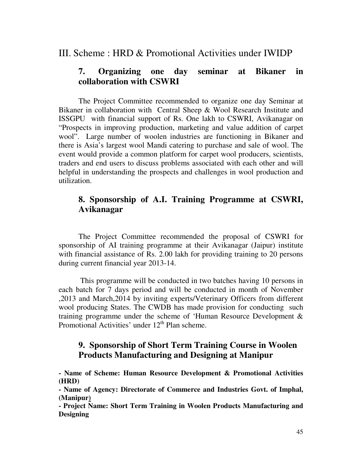## III. Scheme : HRD & Promotional Activities under IWIDP

# **7. Organizing one day seminar at Bikaner in collaboration with CSWRI**

 The Project Committee recommended to organize one day Seminar at Bikaner in collaboration with Central Sheep & Wool Research Institute and ISSGPU with financial support of Rs. One lakh to CSWRI, Avikanagar on "Prospects in improving production, marketing and value addition of carpet wool". Large number of woolen industries are functioning in Bikaner and there is Asia's largest wool Mandi catering to purchase and sale of wool. The event would provide a common platform for carpet wool producers, scientists, traders and end users to discuss problems associated with each other and will helpful in understanding the prospects and challenges in wool production and utilization.

# **8. Sponsorship of A.I. Training Programme at CSWRI, Avikanagar**

 The Project Committee recommended the proposal of CSWRI for sponsorship of AI training programme at their Avikanagar (Jaipur) institute with financial assistance of Rs. 2.00 lakh for providing training to 20 persons during current financial year 2013-14.

 This programme will be conducted in two batches having 10 persons in each batch for 7 days period and will be conducted in month of November ,2013 and March,2014 by inviting experts/Veterinary Officers from different wool producing States. The CWDB has made provision for conducting such training programme under the scheme of 'Human Resource Development & Promotional Activities' under  $12<sup>th</sup>$  Plan scheme.

# **9. Sponsorship of Short Term Training Course in Woolen Products Manufacturing and Designing at Manipur**

**- Name of Scheme: Human Resource Development & Promotional Activities (HRD)** 

**- Name of Agency: Directorate of Commerce and Industries Govt. of Imphal, (Manipur)** 

**- Project Name: Short Term Training in Woolen Products Manufacturing and Designing**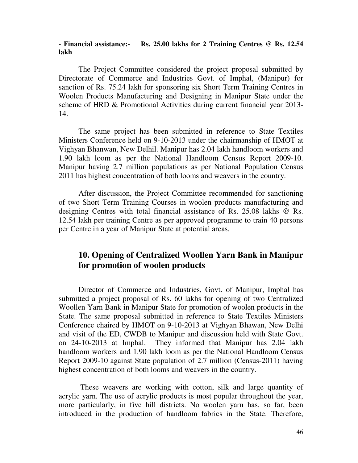#### **- Financial assistance:- Rs. 25.00 lakhs for 2 Training Centres @ Rs. 12.54 lakh**

 The Project Committee considered the project proposal submitted by Directorate of Commerce and Industries Govt. of Imphal, (Manipur) for sanction of Rs. 75.24 lakh for sponsoring six Short Term Training Centres in Woolen Products Manufacturing and Designing in Manipur State under the scheme of HRD & Promotional Activities during current financial year 2013- 14.

 The same project has been submitted in reference to State Textiles Ministers Conference held on 9-10-2013 under the chairmanship of HMOT at Vighyan Bhanwan, New Delhil. Manipur has 2.04 lakh handloom workers and 1.90 lakh loom as per the National Handloom Census Report 2009-10. Manipur having 2.7 million populations as per National Population Census 2011 has highest concentration of both looms and weavers in the country.

After discussion, the Project Committee recommended for sanctioning of two Short Term Training Courses in woolen products manufacturing and designing Centres with total financial assistance of Rs. 25.08 lakhs @ Rs. 12.54 lakh per training Centre as per approved programme to train 40 persons per Centre in a year of Manipur State at potential areas.

# **10. Opening of Centralized Woollen Yarn Bank in Manipur for promotion of woolen products**

 Director of Commerce and Industries, Govt. of Manipur, Imphal has submitted a project proposal of Rs. 60 lakhs for opening of two Centralized Woollen Yarn Bank in Manipur State for promotion of woolen products in the State. The same proposal submitted in reference to State Textiles Ministers Conference chaired by HMOT on 9-10-2013 at Vighyan Bhawan, New Delhi and visit of the ED, CWDB to Manipur and discussion held with State Govt. on 24-10-2013 at Imphal. They informed that Manipur has 2.04 lakh handloom workers and 1.90 lakh loom as per the National Handloom Census Report 2009-10 against State population of 2.7 million (Census-2011) having highest concentration of both looms and weavers in the country.

 These weavers are working with cotton, silk and large quantity of acrylic yarn. The use of acrylic products is most popular throughout the year, more particularly, in five hill districts. No woolen yarn has, so far, been introduced in the production of handloom fabrics in the State. Therefore,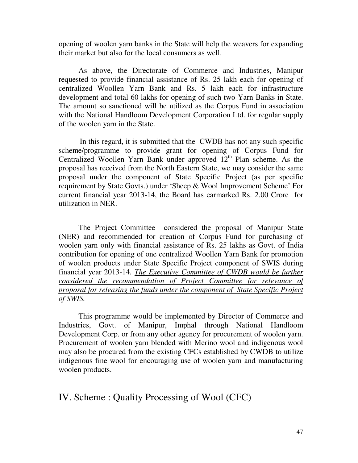opening of woolen yarn banks in the State will help the weavers for expanding their market but also for the local consumers as well.

 As above, the Directorate of Commerce and Industries, Manipur requested to provide financial assistance of Rs. 25 lakh each for opening of centralized Woollen Yarn Bank and Rs. 5 lakh each for infrastructure development and total 60 lakhs for opening of such two Yarn Banks in State. The amount so sanctioned will be utilized as the Corpus Fund in association with the National Handloom Development Corporation Ltd. for regular supply of the woolen yarn in the State.

 In this regard, it is submitted that the CWDB has not any such specific scheme/programme to provide grant for opening of Corpus Fund for Centralized Woollen Yarn Bank under approved  $12<sup>th</sup>$  Plan scheme. As the proposal has received from the North Eastern State, we may consider the same proposal under the component of State Specific Project (as per specific requirement by State Govts.) under 'Sheep & Wool Improvement Scheme' For current financial year 2013-14, the Board has earmarked Rs. 2.00 Crore for utilization in NER.

 The Project Committee considered the proposal of Manipur State (NER) and recommended for creation of Corpus Fund for purchasing of woolen yarn only with financial assistance of Rs. 25 lakhs as Govt. of India contribution for opening of one centralized Woollen Yarn Bank for promotion of woolen products under State Specific Project component of SWIS during financial year 2013-14*. The Executive Committee of CWDB would be further considered the recommendation of Project Committee for relevance of proposal for releasing the funds under the component of State Specific Project of SWIS.*

 This programme would be implemented by Director of Commerce and Industries, Govt. of Manipur, Imphal through National Handloom Development Corp. or from any other agency for procurement of woolen yarn. Procurement of woolen yarn blended with Merino wool and indigenous wool may also be procured from the existing CFCs established by CWDB to utilize indigenous fine wool for encouraging use of woolen yarn and manufacturing woolen products.

# IV. Scheme : Quality Processing of Wool (CFC)